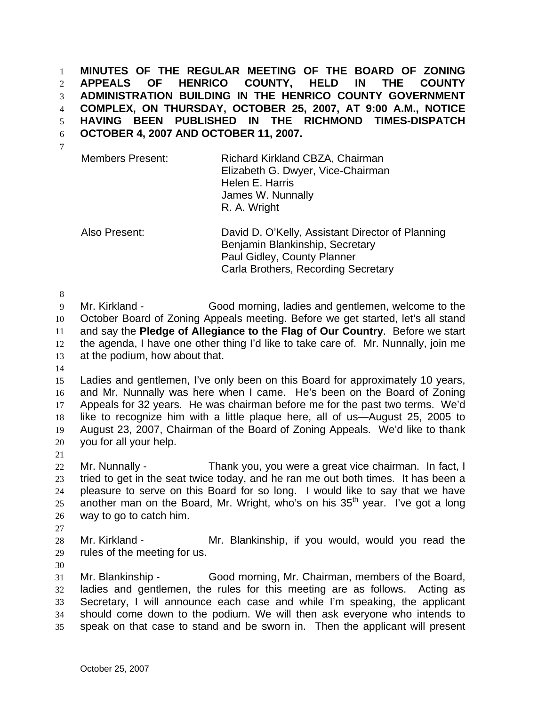**MINUTES OF THE REGULAR MEETING OF THE BOARD OF ZONING APPEALS OF HENRICO COUNTY, HELD IN THE COUNTY ADMINISTRATION BUILDING IN THE HENRICO COUNTY GOVERNMENT COMPLEX, ON THURSDAY, OCTOBER 25, 2007, AT 9:00 A.M., NOTICE HAVING BEEN PUBLISHED IN THE RICHMOND TIMES-DISPATCH OCTOBER 4, 2007 AND OCTOBER 11, 2007.**  1 2 3 4 5 6

7

Members Present: Richard Kirkland CBZA, Chairman Elizabeth G. Dwyer, Vice-Chairman Helen E. Harris James W. Nunnally R. A. Wright

Also Present: David D. O'Kelly, Assistant Director of Planning Benjamin Blankinship, Secretary Paul Gidley, County Planner Carla Brothers, Recording Secretary

8

9 10 11 12 13 Mr. Kirkland - Good morning, ladies and gentlemen, welcome to the October Board of Zoning Appeals meeting. Before we get started, let's all stand and say the **Pledge of Allegiance to the Flag of Our Country**. Before we start the agenda, I have one other thing I'd like to take care of. Mr. Nunnally, join me at the podium, how about that.

14

15 16 17 18 19 20 Ladies and gentlemen, I've only been on this Board for approximately 10 years, and Mr. Nunnally was here when I came. He's been on the Board of Zoning Appeals for 32 years. He was chairman before me for the past two terms. We'd like to recognize him with a little plaque here, all of us—August 25, 2005 to August 23, 2007, Chairman of the Board of Zoning Appeals. We'd like to thank you for all your help.

21

22 23 24 25 26 Mr. Nunnally - Thank you, you were a great vice chairman. In fact, I tried to get in the seat twice today, and he ran me out both times. It has been a pleasure to serve on this Board for so long. I would like to say that we have another man on the Board, Mr. Wright, who's on his  $35<sup>th</sup>$  year. I've got a long way to go to catch him.

27

28 29 Mr. Kirkland - The Mr. Blankinship, if you would, would you read the rules of the meeting for us.

30

31 32 33 34 35 Mr. Blankinship - Good morning, Mr. Chairman, members of the Board, ladies and gentlemen, the rules for this meeting are as follows. Acting as Secretary, I will announce each case and while I'm speaking, the applicant should come down to the podium. We will then ask everyone who intends to speak on that case to stand and be sworn in. Then the applicant will present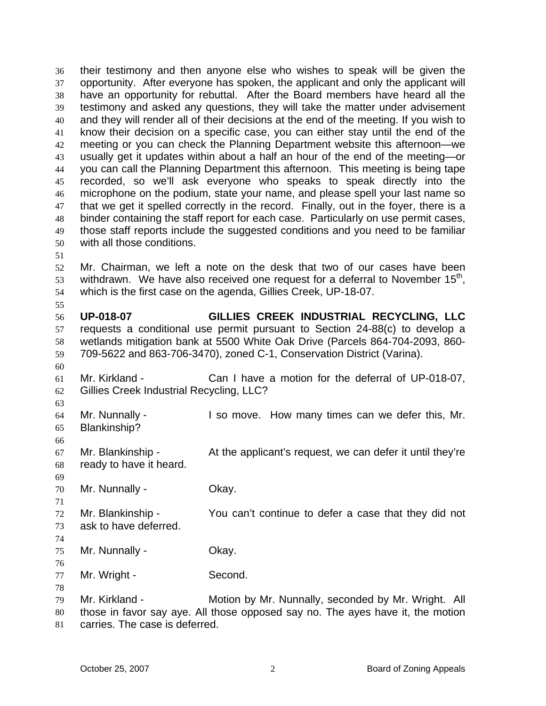their testimony and then anyone else who wishes to speak will be given the opportunity. After everyone has spoken, the applicant and only the applicant will have an opportunity for rebuttal. After the Board members have heard all the testimony and asked any questions, they will take the matter under advisement and they will render all of their decisions at the end of the meeting. If you wish to know their decision on a specific case, you can either stay until the end of the meeting or you can check the Planning Department website this afternoon—we usually get it updates within about a half an hour of the end of the meeting—or you can call the Planning Department this afternoon. This meeting is being tape recorded, so we'll ask everyone who speaks to speak directly into the microphone on the podium, state your name, and please spell your last name so that we get it spelled correctly in the record. Finally, out in the foyer, there is a binder containing the staff report for each case. Particularly on use permit cases, those staff reports include the suggested conditions and you need to be familiar with all those conditions. 36 37 38 39 40 41 42 43 44 45 46 47 48 49 50 51 52

53 54 Mr. Chairman, we left a note on the desk that two of our cases have been withdrawn. We have also received one request for a deferral to November  $15<sup>th</sup>$ , which is the first case on the agenda, Gillies Creek, UP-18-07.

56 57 58 59 **UP-018-07 GILLIES CREEK INDUSTRIAL RECYCLING, LLC**  requests a conditional use permit pursuant to Section 24-88(c) to develop a wetlands mitigation bank at 5500 White Oak Drive (Parcels 864-704-2093, 860- 709-5622 and 863-706-3470), zoned C-1, Conservation District (Varina).

- 61 62 Mr. Kirkland - Can I have a motion for the deferral of UP-018-07, Gillies Creek Industrial Recycling, LLC?
- 63 64

65 66

60

55

Mr. Nunnally - I so move. How many times can we defer this, Mr. Blankinship?

67 68 Mr. Blankinship - At the applicant's request, we can defer it until they're ready to have it heard.

69

71

74

76

70 Mr. Nunnally - Ckay.

72 73 Mr. Blankinship - You can't continue to defer a case that they did not ask to have deferred.

75 Mr. Nunnally - Ckay.

77 Mr. Wright - Second.

78 79 80 Mr. Kirkland - Motion by Mr. Nunnally, seconded by Mr. Wright. All those in favor say aye. All those opposed say no. The ayes have it, the motion

81 carries. The case is deferred.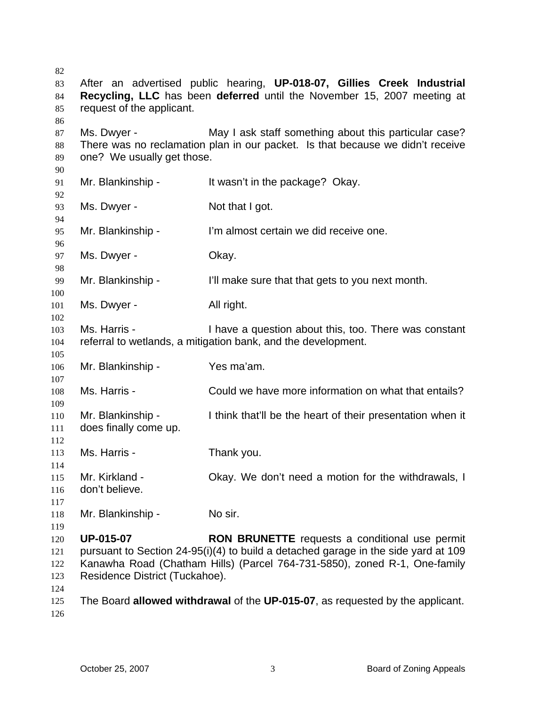| 82       |                                |                                                                                    |
|----------|--------------------------------|------------------------------------------------------------------------------------|
| 83       |                                | After an advertised public hearing, UP-018-07, Gillies Creek Industrial            |
| 84       |                                | Recycling, LLC has been deferred until the November 15, 2007 meeting at            |
| 85       | request of the applicant.      |                                                                                    |
| 86       |                                |                                                                                    |
| 87       | Ms. Dwyer -                    | May I ask staff something about this particular case?                              |
| 88       |                                | There was no reclamation plan in our packet. Is that because we didn't receive     |
| 89       | one? We usually get those.     |                                                                                    |
| 90       |                                |                                                                                    |
| 91       | Mr. Blankinship -              | It wasn't in the package? Okay.                                                    |
| 92       |                                |                                                                                    |
| 93       | Ms. Dwyer -                    | Not that I got.                                                                    |
| 94       |                                |                                                                                    |
| 95       | Mr. Blankinship -              | I'm almost certain we did receive one.                                             |
| 96       |                                | Okay.                                                                              |
| 97<br>98 | Ms. Dwyer -                    |                                                                                    |
| 99       | Mr. Blankinship -              | I'll make sure that that gets to you next month.                                   |
| 100      |                                |                                                                                    |
| 101      | Ms. Dwyer -                    | All right.                                                                         |
| 102      |                                |                                                                                    |
| 103      | Ms. Harris -                   | I have a question about this, too. There was constant                              |
| 104      |                                | referral to wetlands, a mitigation bank, and the development.                      |
| 105      |                                |                                                                                    |
| 106      | Mr. Blankinship -              | Yes ma'am.                                                                         |
| 107      |                                |                                                                                    |
| 108      | Ms. Harris -                   | Could we have more information on what that entails?                               |
| 109      |                                |                                                                                    |
| 110      | Mr. Blankinship -              | I think that'll be the heart of their presentation when it                         |
| 111      | does finally come up.          |                                                                                    |
| 112      |                                |                                                                                    |
| 113      | Ms. Harris -                   | Thank you.                                                                         |
| 114      |                                |                                                                                    |
| 115      | Mr. Kirkland -                 | Okay. We don't need a motion for the withdrawals, I                                |
| 116      | don't believe.                 |                                                                                    |
| 117      |                                |                                                                                    |
| 118      | Mr. Blankinship -              | No sir.                                                                            |
| 119      |                                |                                                                                    |
| 120      | <b>UP-015-07</b>               | RON BRUNETTE requests a conditional use permit                                     |
| 121      |                                | pursuant to Section 24-95(i)(4) to build a detached garage in the side yard at 109 |
| 122      |                                | Kanawha Road (Chatham Hills) (Parcel 764-731-5850), zoned R-1, One-family          |
| 123      | Residence District (Tuckahoe). |                                                                                    |
| 124      |                                |                                                                                    |
| 125      |                                | The Board allowed withdrawal of the UP-015-07, as requested by the applicant.      |
| 126      |                                |                                                                                    |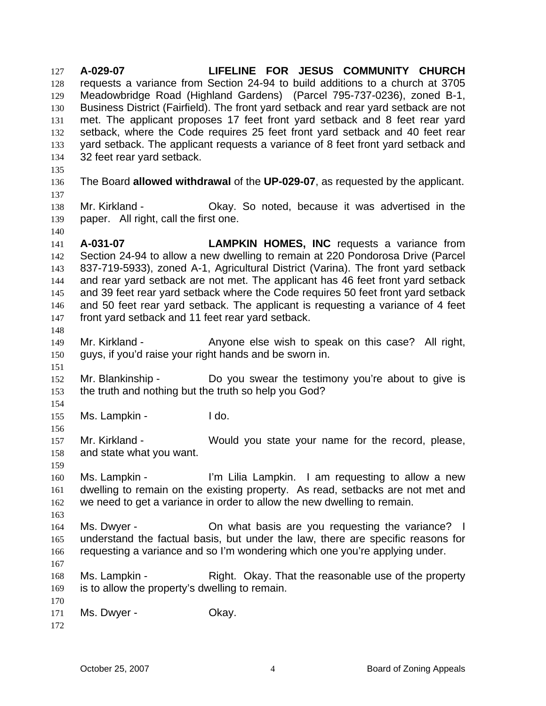**A-029-07 LIFELINE FOR JESUS COMMUNITY CHURCH** requests a variance from Section 24-94 to build additions to a church at 3705 Meadowbridge Road (Highland Gardens) (Parcel 795-737-0236), zoned B-1, Business District (Fairfield). The front yard setback and rear yard setback are not met. The applicant proposes 17 feet front yard setback and 8 feet rear yard setback, where the Code requires 25 feet front yard setback and 40 feet rear yard setback. The applicant requests a variance of 8 feet front yard setback and 32 feet rear yard setback. 127 128 129 130 131 132 133 134 135 136 137 138 139 140 141 142 143 144 145 146 147 148 149 150 151 152 153 154 155 156 157 158 159 160 161 162 163 164 165 166 167 168 169 170 171 172 The Board **allowed withdrawal** of the **UP-029-07**, as requested by the applicant. Mr. Kirkland - Okay. So noted, because it was advertised in the paper. All right, call the first one. **A-031-07 LAMPKIN HOMES, INC** requests a variance from Section 24-94 to allow a new dwelling to remain at 220 Pondorosa Drive (Parcel 837-719-5933), zoned A-1, Agricultural District (Varina). The front yard setback and rear yard setback are not met. The applicant has 46 feet front yard setback and 39 feet rear yard setback where the Code requires 50 feet front yard setback and 50 feet rear yard setback. The applicant is requesting a variance of 4 feet front yard setback and 11 feet rear yard setback. Mr. Kirkland - Anyone else wish to speak on this case? All right, guys, if you'd raise your right hands and be sworn in. Mr. Blankinship - Do you swear the testimony you're about to give is the truth and nothing but the truth so help you God? Ms. Lampkin - The I do. Mr. Kirkland - Would you state your name for the record, please, and state what you want. Ms. Lampkin - I'm Lilia Lampkin. I am requesting to allow a new dwelling to remain on the existing property. As read, setbacks are not met and we need to get a variance in order to allow the new dwelling to remain. Ms. Dwyer - On what basis are you requesting the variance? I understand the factual basis, but under the law, there are specific reasons for requesting a variance and so I'm wondering which one you're applying under. Ms. Lampkin - Right. Okay. That the reasonable use of the property is to allow the property's dwelling to remain. Ms. Dwyer - Ckay.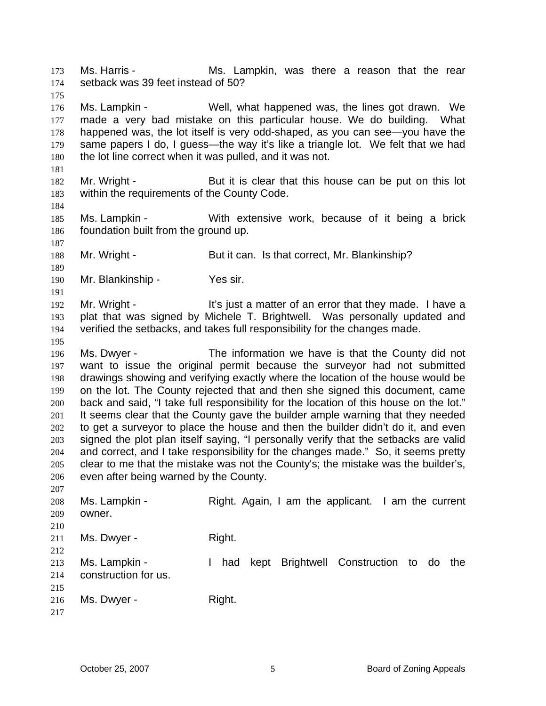Ms. Harris - The Ms. Lampkin, was there a reason that the rear setback was 39 feet instead of 50? 173 174 175

176 177 178 179 180 Ms. Lampkin - Well, what happened was, the lines got drawn. We made a very bad mistake on this particular house. We do building. What happened was, the lot itself is very odd-shaped, as you can see—you have the same papers I do, I guess—the way it's like a triangle lot. We felt that we had the lot line correct when it was pulled, and it was not.

181 182

184

187

189

191

195

207

183 Mr. Wright - But it is clear that this house can be put on this lot within the requirements of the County Code.

185 186 Ms. Lampkin - With extensive work, because of it being a brick foundation built from the ground up.

188 Mr. Wright - But it can. Is that correct, Mr. Blankinship?

190 Mr. Blankinship - Yes sir.

192 193 194 Mr. Wright - It's just a matter of an error that they made. I have a plat that was signed by Michele T. Brightwell. Was personally updated and verified the setbacks, and takes full responsibility for the changes made.

196 197 198 199 200 201 202 203 204 205 206 Ms. Dwyer - The information we have is that the County did not want to issue the original permit because the surveyor had not submitted drawings showing and verifying exactly where the location of the house would be on the lot. The County rejected that and then she signed this document, came back and said, "I take full responsibility for the location of this house on the lot." It seems clear that the County gave the builder ample warning that they needed to get a surveyor to place the house and then the builder didn't do it, and even signed the plot plan itself saying, "I personally verify that the setbacks are valid and correct, and I take responsibility for the changes made." So, it seems pretty clear to me that the mistake was not the County's; the mistake was the builder's, even after being warned by the County.

| 208 | Ms. Lampkin -        | Right. Again, I am the applicant. I am the current |
|-----|----------------------|----------------------------------------------------|
| 209 | owner.               |                                                    |
| 210 |                      |                                                    |
| 211 | Ms. Dwyer -          | Right.                                             |
| 212 |                      |                                                    |
| 213 | Ms. Lampkin -        | had kept Brightwell Construction to do the         |
| 214 | construction for us. |                                                    |
| 215 |                      |                                                    |
| 216 | Ms. Dwyer -          | Right.                                             |
| 217 |                      |                                                    |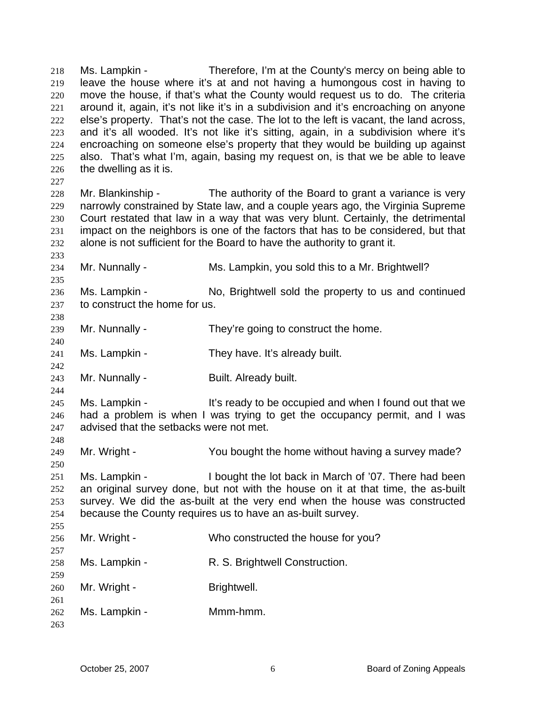Ms. Lampkin - Therefore, I'm at the County's mercy on being able to leave the house where it's at and not having a humongous cost in having to move the house, if that's what the County would request us to do. The criteria around it, again, it's not like it's in a subdivision and it's encroaching on anyone else's property. That's not the case. The lot to the left is vacant, the land across, and it's all wooded. It's not like it's sitting, again, in a subdivision where it's encroaching on someone else's property that they would be building up against also. That's what I'm, again, basing my request on, is that we be able to leave the dwelling as it is. 218 219 220 221 222 223 224 225 226 227 228 229 230 231 232 233 234 235 236 237 238 239 240 241 242 243 244 245 246 247 248 249 250 251 252 253 254 255 256 257 258 259 260 261 262 263 Mr. Blankinship - The authority of the Board to grant a variance is very narrowly constrained by State law, and a couple years ago, the Virginia Supreme Court restated that law in a way that was very blunt. Certainly, the detrimental impact on the neighbors is one of the factors that has to be considered, but that alone is not sufficient for the Board to have the authority to grant it. Mr. Nunnally - Ms. Lampkin, you sold this to a Mr. Brightwell? Ms. Lampkin - No, Brightwell sold the property to us and continued to construct the home for us. Mr. Nunnally - They're going to construct the home. Ms. Lampkin - They have. It's already built. Mr. Nunnally - Built. Already built. Ms. Lampkin - It's ready to be occupied and when I found out that we had a problem is when I was trying to get the occupancy permit, and I was advised that the setbacks were not met. Mr. Wright - You bought the home without having a survey made? Ms. Lampkin - I bought the lot back in March of '07. There had been an original survey done, but not with the house on it at that time, the as-built survey. We did the as-built at the very end when the house was constructed because the County requires us to have an as-built survey. Mr. Wright - Who constructed the house for you? Ms. Lampkin - R. S. Brightwell Construction. Mr. Wright - Brightwell. Ms. Lampkin - Mmm-hmm.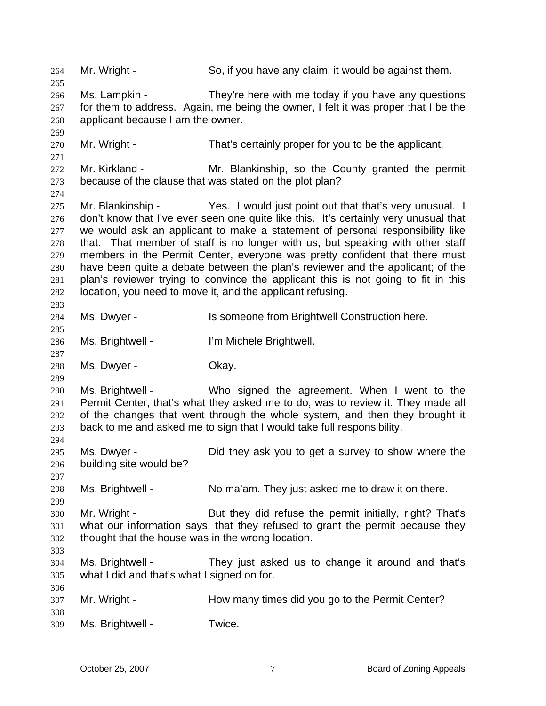264 Mr. Wright - So, if you have any claim, it would be against them. 265 266 267 268 269 270 271 272 273 274 275 276 277 278 279 280 281 282 283 284 285 286 287 288 289 290 291 292 293 294 295 296 297 298 299 300 301 302 303 304 305 306 307 308 309 Ms. Lampkin - They're here with me today if you have any questions for them to address. Again, me being the owner, I felt it was proper that I be the applicant because I am the owner. Mr. Wright - That's certainly proper for you to be the applicant. Mr. Kirkland - Mr. Blankinship, so the County granted the permit because of the clause that was stated on the plot plan? Mr. Blankinship - Yes. I would just point out that that's very unusual. I don't know that I've ever seen one quite like this. It's certainly very unusual that we would ask an applicant to make a statement of personal responsibility like that. That member of staff is no longer with us, but speaking with other staff members in the Permit Center, everyone was pretty confident that there must have been quite a debate between the plan's reviewer and the applicant; of the plan's reviewer trying to convince the applicant this is not going to fit in this location, you need to move it, and the applicant refusing. Ms. Dwyer - Is someone from Brightwell Construction here. Ms. Brightwell - **I'm Michele Brightwell**. Ms. Dwyer - Chay. Ms. Brightwell - Who signed the agreement. When I went to the Permit Center, that's what they asked me to do, was to review it. They made all of the changes that went through the whole system, and then they brought it back to me and asked me to sign that I would take full responsibility. Ms. Dwyer - Did they ask you to get a survey to show where the building site would be? Ms. Brightwell - No ma'am. They just asked me to draw it on there. Mr. Wright - But they did refuse the permit initially, right? That's what our information says, that they refused to grant the permit because they thought that the house was in the wrong location. Ms. Brightwell - They just asked us to change it around and that's what I did and that's what I signed on for. Mr. Wright - The How many times did you go to the Permit Center? Ms. Brightwell - Twice.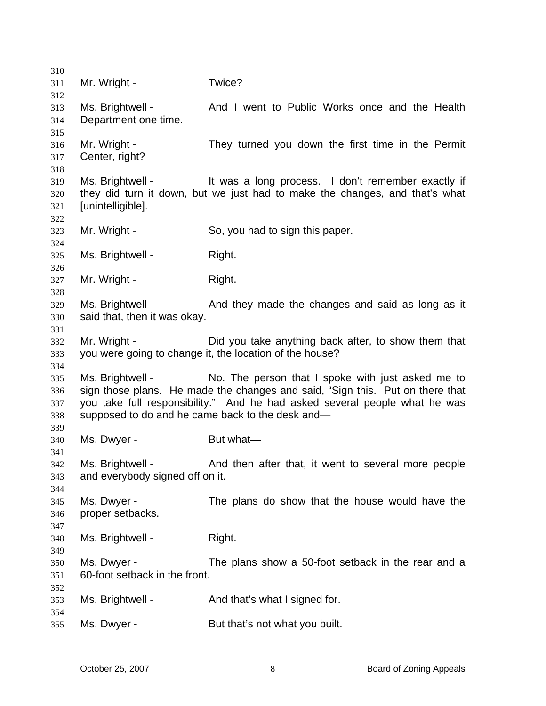| 310        |                                                  |                                                                               |
|------------|--------------------------------------------------|-------------------------------------------------------------------------------|
| 311<br>312 | Mr. Wright -                                     | Twice?                                                                        |
| 313<br>314 | Ms. Brightwell -<br>Department one time.         | And I went to Public Works once and the Health                                |
| 315        |                                                  |                                                                               |
| 316        | Mr. Wright -                                     | They turned you down the first time in the Permit                             |
| 317        | Center, right?                                   |                                                                               |
| 318        |                                                  |                                                                               |
| 319        | Ms. Brightwell -                                 | It was a long process. I don't remember exactly if                            |
| 320        |                                                  | they did turn it down, but we just had to make the changes, and that's what   |
| 321        | [unintelligible].                                |                                                                               |
| 322        |                                                  |                                                                               |
| 323        | Mr. Wright -                                     | So, you had to sign this paper.                                               |
| 324        |                                                  |                                                                               |
| 325        | Ms. Brightwell -                                 | Right.                                                                        |
| 326        |                                                  |                                                                               |
| 327        | Mr. Wright -                                     | Right.                                                                        |
| 328        |                                                  |                                                                               |
| 329        | Ms. Brightwell -                                 | And they made the changes and said as long as it                              |
| 330        | said that, then it was okay.                     |                                                                               |
| 331        |                                                  |                                                                               |
| 332        | Mr. Wright -                                     | Did you take anything back after, to show them that                           |
| 333        |                                                  | you were going to change it, the location of the house?                       |
| 334<br>335 | Ms. Brightwell -                                 | No. The person that I spoke with just asked me to                             |
| 336        |                                                  | sign those plans. He made the changes and said, "Sign this. Put on there that |
| 337        |                                                  | you take full responsibility." And he had asked several people what he was    |
| 338        | supposed to do and he came back to the desk and- |                                                                               |
| 339        |                                                  |                                                                               |
| 340        | Ms. Dwyer -                                      | But what-                                                                     |
| 341        |                                                  |                                                                               |
| 342        | Ms. Brightwell -                                 | And then after that, it went to several more people                           |
| 343        | and everybody signed off on it.                  |                                                                               |
| 344        |                                                  |                                                                               |
| 345        | Ms. Dwyer -                                      | The plans do show that the house would have the                               |
| 346        | proper setbacks.                                 |                                                                               |
| 347        |                                                  |                                                                               |
| 348        | Ms. Brightwell -                                 | Right.                                                                        |
| 349        |                                                  |                                                                               |
| 350        | Ms. Dwyer -                                      | The plans show a 50-foot setback in the rear and a                            |
| 351        | 60-foot setback in the front.                    |                                                                               |
| 352        |                                                  |                                                                               |
| 353        | Ms. Brightwell -                                 | And that's what I signed for.                                                 |
| 354        |                                                  |                                                                               |
| 355        | Ms. Dwyer -                                      | But that's not what you built.                                                |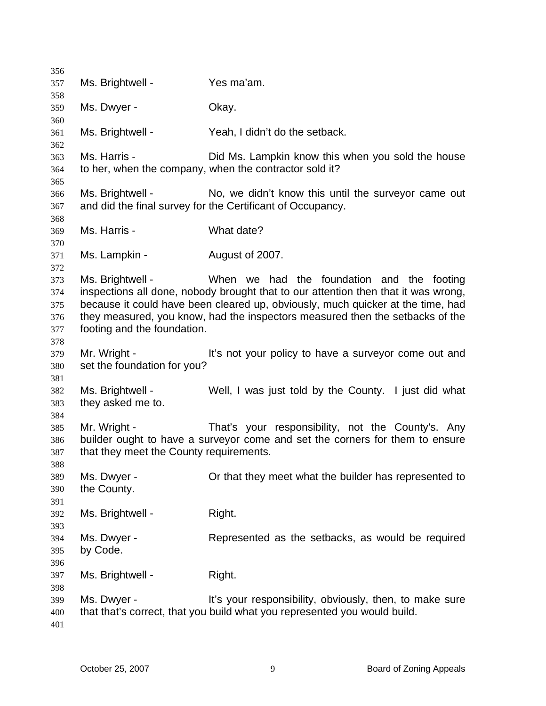Ms. Brightwell - Yes ma'am. Ms. Dwyer - Chay. Ms. Brightwell - Yeah, I didn't do the setback. Ms. Harris - The Did Ms. Lampkin know this when you sold the house to her, when the company, when the contractor sold it? Ms. Brightwell - No, we didn't know this until the surveyor came out and did the final survey for the Certificant of Occupancy. Ms. Harris - What date? Ms. Lampkin - August of 2007. Ms. Brightwell - When we had the foundation and the footing inspections all done, nobody brought that to our attention then that it was wrong, because it could have been cleared up, obviously, much quicker at the time, had they measured, you know, had the inspectors measured then the setbacks of the footing and the foundation. Mr. Wright - It's not your policy to have a surveyor come out and set the foundation for you? Ms. Brightwell - Well, I was just told by the County. I just did what they asked me to. Mr. Wright - That's your responsibility, not the County's. Any builder ought to have a surveyor come and set the corners for them to ensure that they meet the County requirements. Ms. Dwyer - Or that they meet what the builder has represented to the County. Ms. Brightwell - Right. Ms. Dwyer - Represented as the setbacks, as would be required by Code. Ms. Brightwell - Right. Ms. Dwyer - The Music of the Vour responsibility, obviously, then, to make sure that that's correct, that you build what you represented you would build.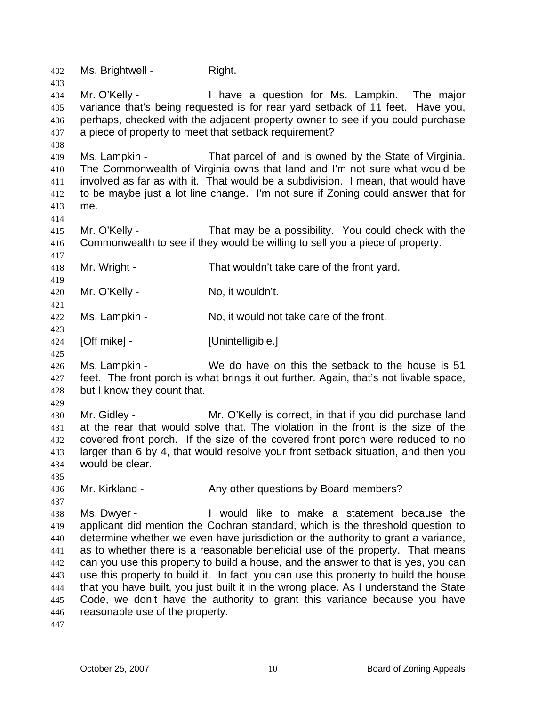402 Ms. Brightwell - Right. 403 404 405 406 407 408 409 410 411 412 413 414 415 416 417 418 419 420 421 422 423 424 425 426 427 428 429 430 431 432 433 434 435 436 437 438 439 440 441 442 443 444 445 446 447 Mr. O'Kelly - I have a question for Ms. Lampkin. The major variance that's being requested is for rear yard setback of 11 feet. Have you, perhaps, checked with the adjacent property owner to see if you could purchase a piece of property to meet that setback requirement? Ms. Lampkin - That parcel of land is owned by the State of Virginia. The Commonwealth of Virginia owns that land and I'm not sure what would be involved as far as with it. That would be a subdivision. I mean, that would have to be maybe just a lot line change. I'm not sure if Zoning could answer that for me. Mr. O'Kelly - That may be a possibility. You could check with the Commonwealth to see if they would be willing to sell you a piece of property. Mr. Wright - That wouldn't take care of the front yard. Mr. O'Kelly - No, it wouldn't. Ms. Lampkin - No, it would not take care of the front. [Off mike] - [Unintelligible.] Ms. Lampkin - We do have on this the setback to the house is 51 feet. The front porch is what brings it out further. Again, that's not livable space, but I know they count that. Mr. Gidley - Mr. O'Kelly is correct, in that if you did purchase land at the rear that would solve that. The violation in the front is the size of the covered front porch. If the size of the covered front porch were reduced to no larger than 6 by 4, that would resolve your front setback situation, and then you would be clear. Mr. Kirkland - The Any other questions by Board members? Ms. Dwyer - I would like to make a statement because the applicant did mention the Cochran standard, which is the threshold question to determine whether we even have jurisdiction or the authority to grant a variance, as to whether there is a reasonable beneficial use of the property. That means can you use this property to build a house, and the answer to that is yes, you can use this property to build it. In fact, you can use this property to build the house that you have built, you just built it in the wrong place. As I understand the State Code, we don't have the authority to grant this variance because you have reasonable use of the property.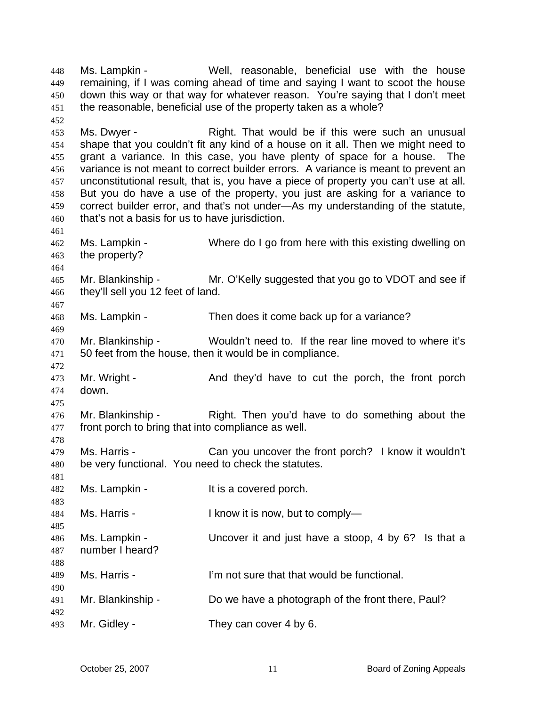Ms. Lampkin - Well, reasonable, beneficial use with the house remaining, if I was coming ahead of time and saying I want to scoot the house down this way or that way for whatever reason. You're saying that I don't meet the reasonable, beneficial use of the property taken as a whole? 448 449 450 451 452 453 454 455 456 457 458 459 460 461 462 463 464 465 466 467 468 469 470 471 472 473 474 475 476 477 478 479 480 481 482 483 484 485 486 487 488 489 490 491 492 493 Ms. Dwyer - Right. That would be if this were such an unusual shape that you couldn't fit any kind of a house on it all. Then we might need to grant a variance. In this case, you have plenty of space for a house. The variance is not meant to correct builder errors. A variance is meant to prevent an unconstitutional result, that is, you have a piece of property you can't use at all. But you do have a use of the property, you just are asking for a variance to correct builder error, and that's not under—As my understanding of the statute, that's not a basis for us to have jurisdiction. Ms. Lampkin - Where do I go from here with this existing dwelling on the property? Mr. Blankinship - Mr. O'Kelly suggested that you go to VDOT and see if they'll sell you 12 feet of land. Ms. Lampkin - Then does it come back up for a variance? Mr. Blankinship - Wouldn't need to. If the rear line moved to where it's 50 feet from the house, then it would be in compliance. Mr. Wright - And they'd have to cut the porch, the front porch down. Mr. Blankinship - Right. Then you'd have to do something about the front porch to bring that into compliance as well. Ms. Harris - Can you uncover the front porch? I know it wouldn't be very functional. You need to check the statutes. Ms. Lampkin - The Music extendion of the Music Porch. Ms. Harris - I know it is now, but to comply— Ms. Lampkin - Uncover it and just have a stoop, 4 by 6? Is that a number I heard? Ms. Harris - The U'm not sure that that would be functional. Mr. Blankinship - Do we have a photograph of the front there, Paul? Mr. Gidley - They can cover 4 by 6.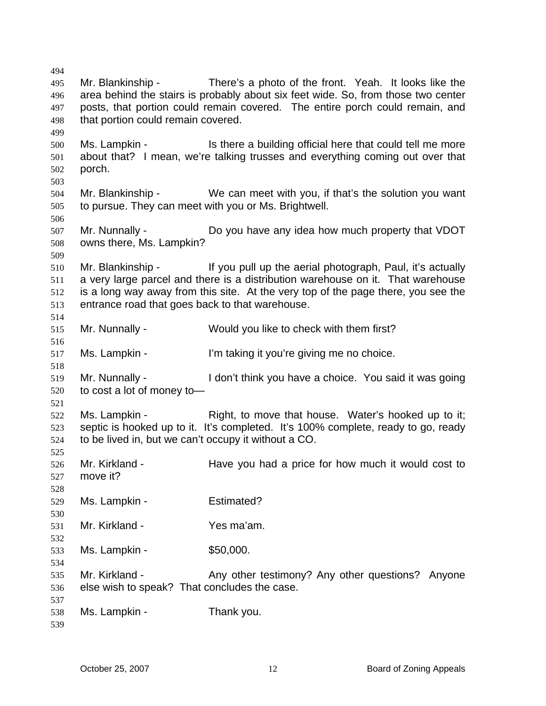495 496 497 498 499 500 501 502 503 504 505 506 507 508 509 510 511 512 513 514 515 516 517 518 519 520 521 522 523 524 525 526 527 528 529 530 531 532 533 534 535 536 537 538 539 Mr. Blankinship - There's a photo of the front. Yeah. It looks like the area behind the stairs is probably about six feet wide. So, from those two center posts, that portion could remain covered. The entire porch could remain, and that portion could remain covered. Ms. Lampkin - Is there a building official here that could tell me more about that? I mean, we're talking trusses and everything coming out over that porch. Mr. Blankinship - We can meet with you, if that's the solution you want to pursue. They can meet with you or Ms. Brightwell. Mr. Nunnally - Do you have any idea how much property that VDOT owns there, Ms. Lampkin? Mr. Blankinship - If you pull up the aerial photograph, Paul, it's actually a very large parcel and there is a distribution warehouse on it. That warehouse is a long way away from this site. At the very top of the page there, you see the entrance road that goes back to that warehouse. Mr. Nunnally - Would you like to check with them first? Ms. Lampkin - I'm taking it you're giving me no choice. Mr. Nunnally - The I don't think you have a choice. You said it was going to cost a lot of money to— Ms. Lampkin - Right, to move that house. Water's hooked up to it; septic is hooked up to it. It's completed. It's 100% complete, ready to go, ready to be lived in, but we can't occupy it without a CO. Mr. Kirkland - Have you had a price for how much it would cost to move it? Ms. Lampkin - Estimated? Mr. Kirkland - Yes ma'am. Ms. Lampkin - \$50,000. Mr. Kirkland - Any other testimony? Any other questions? Anyone else wish to speak? That concludes the case. Ms. Lampkin - Thank you.

494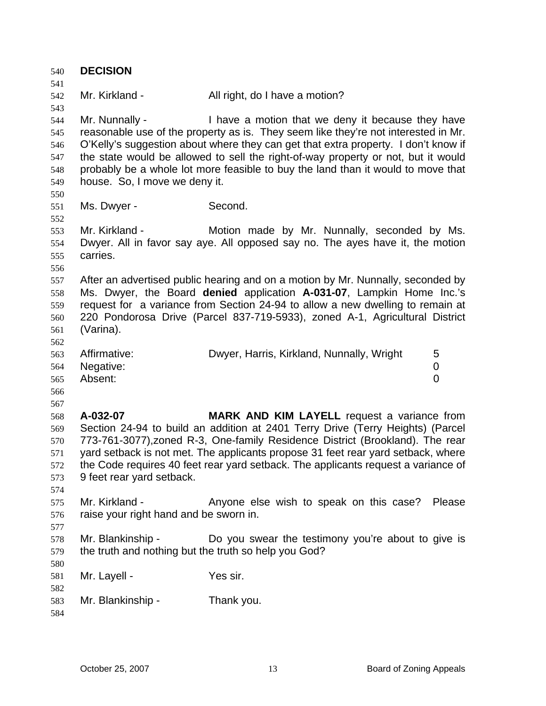540 **DECISION**  541 542 543 544 545 546 547 548 549 550 551 552 553 554 555 556 557 558 559 560 561 562 563 564 565 566 567 568 569 570 571 572 573 574 575 576 577 578 579 580 581 582 583 584 Mr. Kirkland - All right, do I have a motion? Mr. Nunnally - I have a motion that we deny it because they have reasonable use of the property as is. They seem like they're not interested in Mr. O'Kelly's suggestion about where they can get that extra property. I don't know if the state would be allowed to sell the right-of-way property or not, but it would probably be a whole lot more feasible to buy the land than it would to move that house. So, I move we deny it. Ms. Dwyer - Second. Mr. Kirkland - The Motion made by Mr. Nunnally, seconded by Ms. Dwyer. All in favor say aye. All opposed say no. The ayes have it, the motion carries. After an advertised public hearing and on a motion by Mr. Nunnally, seconded by Ms. Dwyer, the Board **denied** application **A-031-07**, Lampkin Home Inc.'s request for a variance from Section 24-94 to allow a new dwelling to remain at 220 Pondorosa Drive (Parcel 837-719-5933), zoned A-1, Agricultural District (Varina). Affirmative: Dwyer, Harris, Kirkland, Nunnally, Wright 5 Negative: 0 Absent: 0 **A-032-07 MARK AND KIM LAYELL** request a variance from Section 24-94 to build an addition at 2401 Terry Drive (Terry Heights) (Parcel 773-761-3077),zoned R-3, One-family Residence District (Brookland). The rear yard setback is not met. The applicants propose 31 feet rear yard setback, where the Code requires 40 feet rear yard setback. The applicants request a variance of 9 feet rear yard setback. Mr. Kirkland - Anyone else wish to speak on this case? Please raise your right hand and be sworn in. Mr. Blankinship - Do you swear the testimony you're about to give is the truth and nothing but the truth so help you God? Mr. Layell - Yes sir. Mr. Blankinship - Thank you.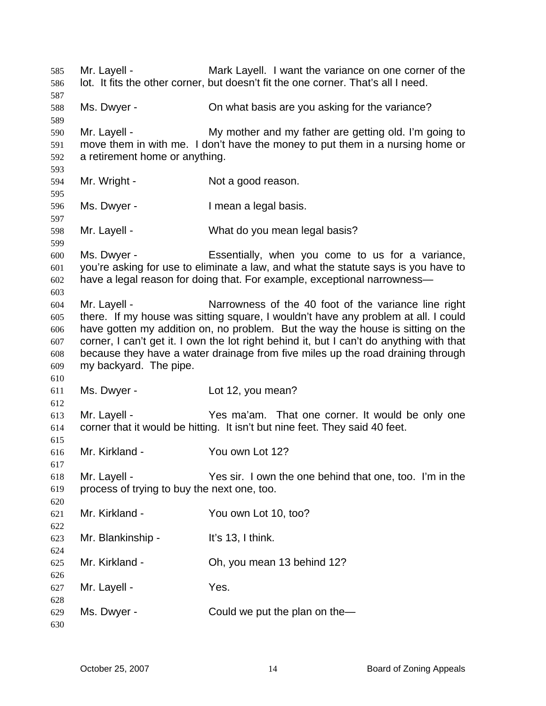Mr. Layell - Mark Layell. I want the variance on one corner of the lot. It fits the other corner, but doesn't fit the one corner. That's all I need. Ms. Dwyer - On what basis are you asking for the variance? Mr. Layell - My mother and my father are getting old. I'm going to move them in with me. I don't have the money to put them in a nursing home or a retirement home or anything. Mr. Wright - Not a good reason. Ms. Dwyer - The an a legal basis. Mr. Layell - What do you mean legal basis? Ms. Dwyer - Essentially, when you come to us for a variance, you're asking for use to eliminate a law, and what the statute says is you have to have a legal reason for doing that. For example, exceptional narrowness— Mr. Layell - Narrowness of the 40 foot of the variance line right there. If my house was sitting square, I wouldn't have any problem at all. I could have gotten my addition on, no problem. But the way the house is sitting on the corner, I can't get it. I own the lot right behind it, but I can't do anything with that because they have a water drainage from five miles up the road draining through my backyard. The pipe. Ms. Dwyer - Lot 12, you mean? Mr. Layell - Yes ma'am. That one corner. It would be only one corner that it would be hitting. It isn't but nine feet. They said 40 feet. Mr. Kirkland - You own Lot 12? Mr. Layell - The State of Mr. Layell - Yes sir. I own the one behind that one, too. I'm in the process of trying to buy the next one, too. Mr. Kirkland - The You own Lot 10, too? Mr. Blankinship - It's 13, I think. Mr. Kirkland - Ch, you mean 13 behind 12? Mr. Layell - The Yes. Ms. Dwyer - Could we put the plan on the—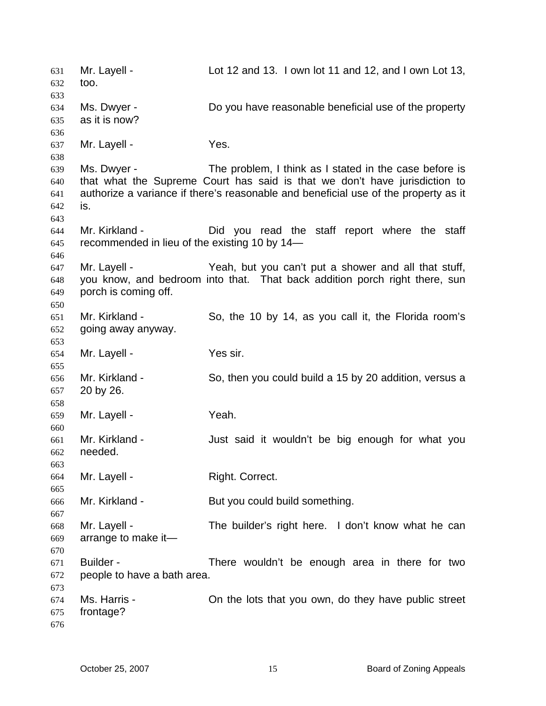Mr. Layell - Lot 12 and 13. I own lot 11 and 12, and I own Lot 13, too. 631 632 633 634 635 636 637 638 639 640 641 642 643 644 645 646 647 648 649 650 651 652 653 654 655 656 657 658 659 660 661 662 663 664 665 666 667 668 669 670 671 672 673 674 675 676 Ms. Dwyer - **Do you have reasonable beneficial use of the property** as it is now? Mr. Layell - Yes. Ms. Dwyer - The problem, I think as I stated in the case before is that what the Supreme Court has said is that we don't have jurisdiction to authorize a variance if there's reasonable and beneficial use of the property as it is. Mr. Kirkland - The Did you read the staff report where the staff recommended in lieu of the existing 10 by 14— Mr. Layell - Yeah, but you can't put a shower and all that stuff, you know, and bedroom into that. That back addition porch right there, sun porch is coming off. Mr. Kirkland - So, the 10 by 14, as you call it, the Florida room's going away anyway. Mr. Layell - Yes sir. Mr. Kirkland - So, then you could build a 15 by 20 addition, versus a 20 by 26. Mr. Layell - Yeah. Mr. Kirkland - The Sout said it wouldn't be big enough for what you needed. Mr. Layell - Right. Correct. Mr. Kirkland - But you could build something. Mr. Layell - The builder's right here. I don't know what he can arrange to make it— Builder - There wouldn't be enough area in there for two people to have a bath area. Ms. Harris - On the lots that you own, do they have public street frontage?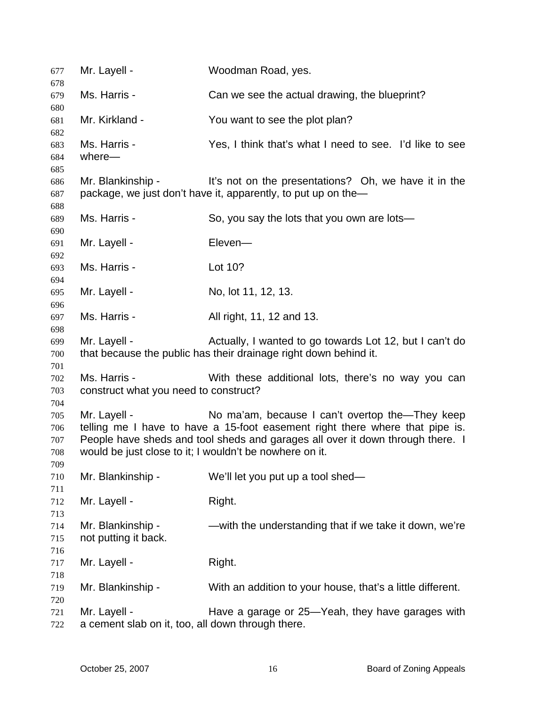| 677        | Mr. Layell -                                            | Woodman Road, yes.                                                                                                    |
|------------|---------------------------------------------------------|-----------------------------------------------------------------------------------------------------------------------|
| 678<br>679 | Ms. Harris -                                            | Can we see the actual drawing, the blueprint?                                                                         |
| 680        |                                                         |                                                                                                                       |
| 681<br>682 | Mr. Kirkland -                                          | You want to see the plot plan?                                                                                        |
| 683        | Ms. Harris -                                            | Yes, I think that's what I need to see. I'd like to see                                                               |
| 684        | where-                                                  |                                                                                                                       |
| 685        |                                                         |                                                                                                                       |
| 686<br>687 | Mr. Blankinship -                                       | It's not on the presentations? Oh, we have it in the<br>package, we just don't have it, apparently, to put up on the- |
| 688        |                                                         |                                                                                                                       |
| 689        | Ms. Harris -                                            | So, you say the lots that you own are lots—                                                                           |
| 690        |                                                         |                                                                                                                       |
| 691        | Mr. Layell -                                            | Eleven-                                                                                                               |
| 692        | Ms. Harris -                                            | Lot 10?                                                                                                               |
| 693<br>694 |                                                         |                                                                                                                       |
| 695        | Mr. Layell -                                            | No, lot 11, 12, 13.                                                                                                   |
| 696        |                                                         |                                                                                                                       |
| 697        | Ms. Harris -                                            | All right, 11, 12 and 13.                                                                                             |
| 698        |                                                         |                                                                                                                       |
| 699        | Mr. Layell -                                            | Actually, I wanted to go towards Lot 12, but I can't do                                                               |
| 700        |                                                         | that because the public has their drainage right down behind it.                                                      |
| 701        |                                                         |                                                                                                                       |
| 702        | Ms. Harris -                                            | With these additional lots, there's no way you can                                                                    |
| 703        | construct what you need to construct?                   |                                                                                                                       |
| 704        |                                                         |                                                                                                                       |
| 705        | Mr. Layell -                                            | No ma'am, because I can't overtop the—They keep                                                                       |
| 706        |                                                         | telling me I have to have a 15-foot easement right there where that pipe is.                                          |
| 707        |                                                         | People have sheds and tool sheds and garages all over it down through there. I                                        |
| 708        | would be just close to it; I wouldn't be nowhere on it. |                                                                                                                       |
| 709<br>710 | Mr. Blankinship -                                       | We'll let you put up a tool shed-                                                                                     |
| 711        |                                                         |                                                                                                                       |
| 712        | Mr. Layell -                                            | Right.                                                                                                                |
| 713        |                                                         |                                                                                                                       |
| 714        | Mr. Blankinship -                                       | - with the understanding that if we take it down, we're                                                               |
| 715        | not putting it back.                                    |                                                                                                                       |
| 716        |                                                         |                                                                                                                       |
| 717        | Mr. Layell -                                            | Right.                                                                                                                |
| 718        |                                                         |                                                                                                                       |
| 719        | Mr. Blankinship -                                       | With an addition to your house, that's a little different.                                                            |
| 720        |                                                         |                                                                                                                       |
| 721        | Mr. Layell -                                            | Have a garage or 25–Yeah, they have garages with                                                                      |
| 722        | a cement slab on it, too, all down through there.       |                                                                                                                       |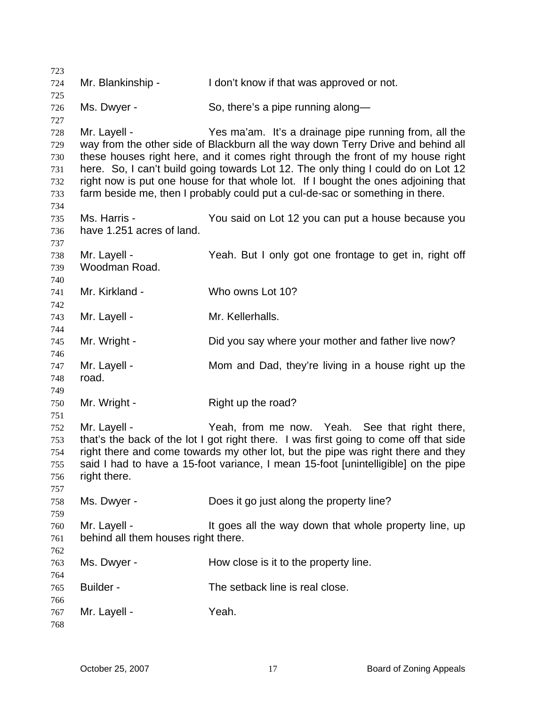Mr. Blankinship - The loon't know if that was approved or not. Ms. Dwyer - So, there's a pipe running along— Mr. Layell - The State Yes ma'am. It's a drainage pipe running from, all the way from the other side of Blackburn all the way down Terry Drive and behind all these houses right here, and it comes right through the front of my house right here. So, I can't build going towards Lot 12. The only thing I could do on Lot 12 right now is put one house for that whole lot. If I bought the ones adjoining that farm beside me, then I probably could put a cul-de-sac or something in there. Ms. Harris - The You said on Lot 12 you can put a house because you have 1.251 acres of land. Mr. Layell - The Yeah. But I only got one frontage to get in, right off Woodman Road. Mr. Kirkland - Who owns Lot 10? Mr. Layell - Mr. Kellerhalls. Mr. Wright - **Did you say where your mother and father live now?** Mr. Layell - Mom and Dad, they're living in a house right up the road. Mr. Wright - Right up the road? Mr. Layell - Yeah, from me now. Yeah. See that right there, that's the back of the lot I got right there. I was first going to come off that side right there and come towards my other lot, but the pipe was right there and they said I had to have a 15-foot variance, I mean 15-foot [unintelligible] on the pipe right there. Ms. Dwyer - Does it go just along the property line? Mr. Layell - The State of the way down that whole property line, up behind all them houses right there. Ms. Dwyer - How close is it to the property line. Builder - The setback line is real close. Mr. Layell - Yeah.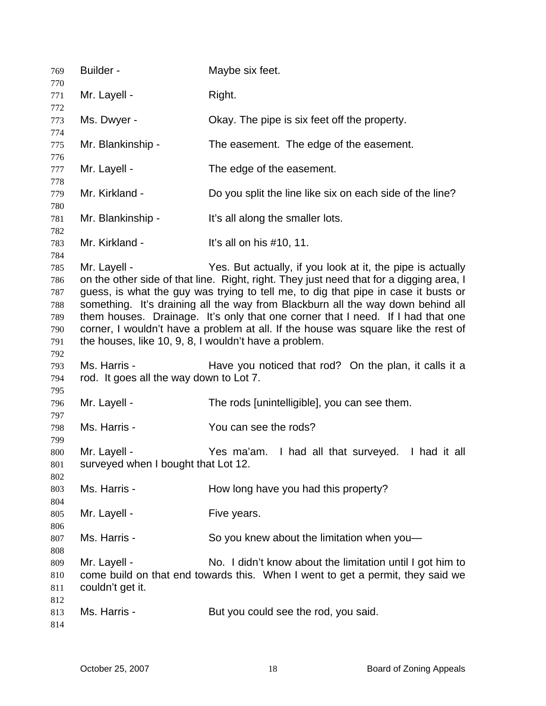| 769                                                  | Builder -                                                             | Maybe six feet.                                                                                                                                                                                                                                                                                                                                                                                                                                                                                         |
|------------------------------------------------------|-----------------------------------------------------------------------|---------------------------------------------------------------------------------------------------------------------------------------------------------------------------------------------------------------------------------------------------------------------------------------------------------------------------------------------------------------------------------------------------------------------------------------------------------------------------------------------------------|
| 770<br>771                                           | Mr. Layell -                                                          | Right.                                                                                                                                                                                                                                                                                                                                                                                                                                                                                                  |
| 772                                                  |                                                                       |                                                                                                                                                                                                                                                                                                                                                                                                                                                                                                         |
| 773<br>774                                           | Ms. Dwyer -                                                           | Okay. The pipe is six feet off the property.                                                                                                                                                                                                                                                                                                                                                                                                                                                            |
| 775<br>776                                           | Mr. Blankinship -                                                     | The easement. The edge of the easement.                                                                                                                                                                                                                                                                                                                                                                                                                                                                 |
| 777<br>778                                           | Mr. Layell -                                                          | The edge of the easement.                                                                                                                                                                                                                                                                                                                                                                                                                                                                               |
| 779<br>780                                           | Mr. Kirkland -                                                        | Do you split the line like six on each side of the line?                                                                                                                                                                                                                                                                                                                                                                                                                                                |
| 781<br>782                                           | Mr. Blankinship -                                                     | It's all along the smaller lots.                                                                                                                                                                                                                                                                                                                                                                                                                                                                        |
| 783<br>784                                           | Mr. Kirkland -                                                        | It's all on his $#10$ , 11.                                                                                                                                                                                                                                                                                                                                                                                                                                                                             |
| 785<br>786<br>787<br>788<br>789<br>790<br>791<br>792 | Mr. Layell -<br>the houses, like 10, 9, 8, I wouldn't have a problem. | Yes. But actually, if you look at it, the pipe is actually<br>on the other side of that line. Right, right. They just need that for a digging area, I<br>guess, is what the guy was trying to tell me, to dig that pipe in case it busts or<br>something. It's draining all the way from Blackburn all the way down behind all<br>them houses. Drainage. It's only that one corner that I need. If I had that one<br>corner, I wouldn't have a problem at all. If the house was square like the rest of |
| 793<br>794                                           | Ms. Harris -<br>rod. It goes all the way down to Lot 7.               | Have you noticed that rod? On the plan, it calls it a                                                                                                                                                                                                                                                                                                                                                                                                                                                   |
| 795<br>796<br>797                                    | Mr. Layell -                                                          | The rods [unintelligible], you can see them.                                                                                                                                                                                                                                                                                                                                                                                                                                                            |
| 798<br>799                                           | Ms. Harris -                                                          | You can see the rods?                                                                                                                                                                                                                                                                                                                                                                                                                                                                                   |
| 800<br>801<br>802                                    | Mr. Layell -<br>surveyed when I bought that Lot 12                    | Yes ma'am. I had all that surveyed. I had it all                                                                                                                                                                                                                                                                                                                                                                                                                                                        |
| 803<br>804                                           | Ms. Harris -                                                          | How long have you had this property?                                                                                                                                                                                                                                                                                                                                                                                                                                                                    |
| 805<br>806                                           | Mr. Layell -                                                          | Five years.                                                                                                                                                                                                                                                                                                                                                                                                                                                                                             |
| 807<br>808                                           | Ms. Harris -                                                          | So you knew about the limitation when you-                                                                                                                                                                                                                                                                                                                                                                                                                                                              |
| 809<br>810<br>811                                    | Mr. Layell -<br>couldn't get it.                                      | No. I didn't know about the limitation until I got him to<br>come build on that end towards this. When I went to get a permit, they said we                                                                                                                                                                                                                                                                                                                                                             |
| 812<br>813<br>814                                    | Ms. Harris -                                                          | But you could see the rod, you said.                                                                                                                                                                                                                                                                                                                                                                                                                                                                    |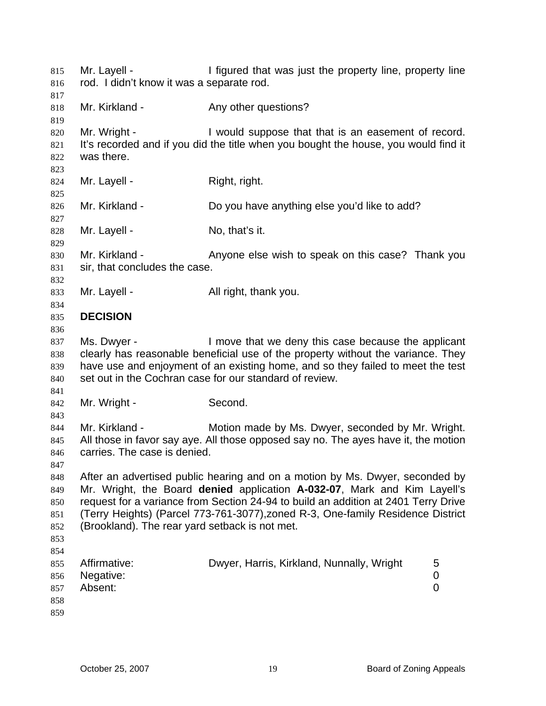| 815<br>816<br>817                      | Mr. Layell -<br>rod. I didn't know it was a separate rod. | I figured that was just the property line, property line                                                                                                                                                                                                                                                                          |             |
|----------------------------------------|-----------------------------------------------------------|-----------------------------------------------------------------------------------------------------------------------------------------------------------------------------------------------------------------------------------------------------------------------------------------------------------------------------------|-------------|
| 818<br>819                             | Mr. Kirkland -                                            | Any other questions?                                                                                                                                                                                                                                                                                                              |             |
| 820<br>821<br>822<br>823               | Mr. Wright -<br>was there.                                | I would suppose that that is an easement of record.<br>It's recorded and if you did the title when you bought the house, you would find it                                                                                                                                                                                        |             |
| 824<br>825                             | Mr. Layell -                                              | Right, right.                                                                                                                                                                                                                                                                                                                     |             |
| 826<br>827                             | Mr. Kirkland -                                            | Do you have anything else you'd like to add?                                                                                                                                                                                                                                                                                      |             |
| 828<br>829                             | Mr. Layell -                                              | No, that's it.                                                                                                                                                                                                                                                                                                                    |             |
| 830<br>831<br>832                      | Mr. Kirkland -<br>sir, that concludes the case.           | Anyone else wish to speak on this case? Thank you                                                                                                                                                                                                                                                                                 |             |
| 833<br>834                             | Mr. Layell -                                              | All right, thank you.                                                                                                                                                                                                                                                                                                             |             |
| 835<br>836                             | <b>DECISION</b>                                           |                                                                                                                                                                                                                                                                                                                                   |             |
| 837<br>838<br>839<br>840<br>841        | Ms. Dwyer -                                               | I move that we deny this case because the applicant<br>clearly has reasonable beneficial use of the property without the variance. They<br>have use and enjoyment of an existing home, and so they failed to meet the test<br>set out in the Cochran case for our standard of review.                                             |             |
| 842<br>843                             | Mr. Wright -                                              | Second.                                                                                                                                                                                                                                                                                                                           |             |
| 844<br>845<br>846<br>847               | Mr. Kirkland -<br>carries. The case is denied.            | Motion made by Ms. Dwyer, seconded by Mr. Wright.<br>All those in favor say aye. All those opposed say no. The ayes have it, the motion                                                                                                                                                                                           |             |
| 848<br>849<br>850<br>851<br>852<br>853 | (Brookland). The rear yard setback is not met.            | After an advertised public hearing and on a motion by Ms. Dwyer, seconded by<br>Mr. Wright, the Board denied application A-032-07, Mark and Kim Layell's<br>request for a variance from Section 24-94 to build an addition at 2401 Terry Drive<br>(Terry Heights) (Parcel 773-761-3077), zoned R-3, One-family Residence District |             |
| 854<br>855<br>856<br>857<br>858<br>859 | Affirmative:<br>Negative:<br>Absent:                      | Dwyer, Harris, Kirkland, Nunnally, Wright                                                                                                                                                                                                                                                                                         | 5<br>0<br>0 |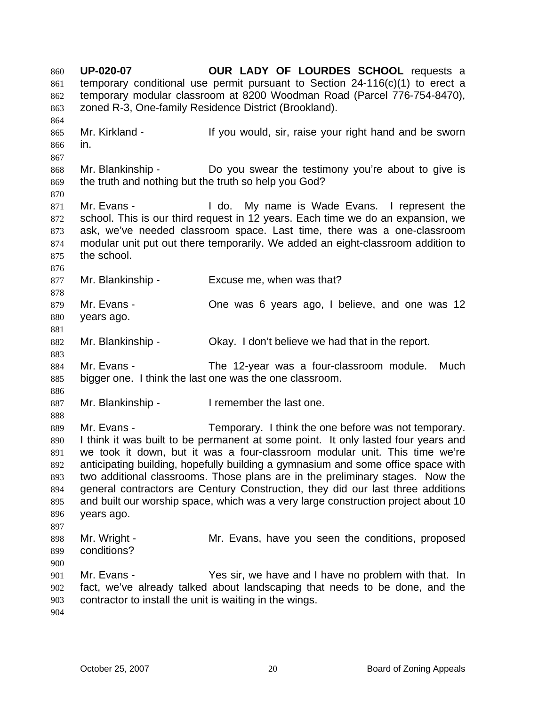**UP-020-07 OUR LADY OF LOURDES SCHOOL** requests a temporary conditional use permit pursuant to Section 24-116(c)(1) to erect a temporary modular classroom at 8200 Woodman Road (Parcel 776-754-8470), zoned R-3, One-family Residence District (Brookland). 860 861 862 863 864 865 866 867 868 869 870 871 872 873 874 875 876 877 878 879 880 881 882 883 884 885 886 887 888 889 890 891 892 893 894 895 896 897 898 899 900 901 902 903 904 Mr. Kirkland - If you would, sir, raise your right hand and be sworn in. Mr. Blankinship - Do you swear the testimony you're about to give is the truth and nothing but the truth so help you God? Mr. Evans - I do. My name is Wade Evans. I represent the school. This is our third request in 12 years. Each time we do an expansion, we ask, we've needed classroom space. Last time, there was a one-classroom modular unit put out there temporarily. We added an eight-classroom addition to the school. Mr. Blankinship - Excuse me, when was that? Mr. Evans - Che was 6 years ago, I believe, and one was 12 years ago. Mr. Blankinship - Okay. I don't believe we had that in the report. Mr. Evans - The 12-year was a four-classroom module. Much bigger one. I think the last one was the one classroom. Mr. Blankinship - The I remember the last one. Mr. Evans - Temporary. I think the one before was not temporary. I think it was built to be permanent at some point. It only lasted four years and we took it down, but it was a four-classroom modular unit. This time we're anticipating building, hopefully building a gymnasium and some office space with two additional classrooms. Those plans are in the preliminary stages. Now the general contractors are Century Construction, they did our last three additions and built our worship space, which was a very large construction project about 10 years ago. Mr. Wright - The Mr. Evans, have you seen the conditions, proposed conditions? Mr. Evans - Yes sir, we have and I have no problem with that. In fact, we've already talked about landscaping that needs to be done, and the contractor to install the unit is waiting in the wings.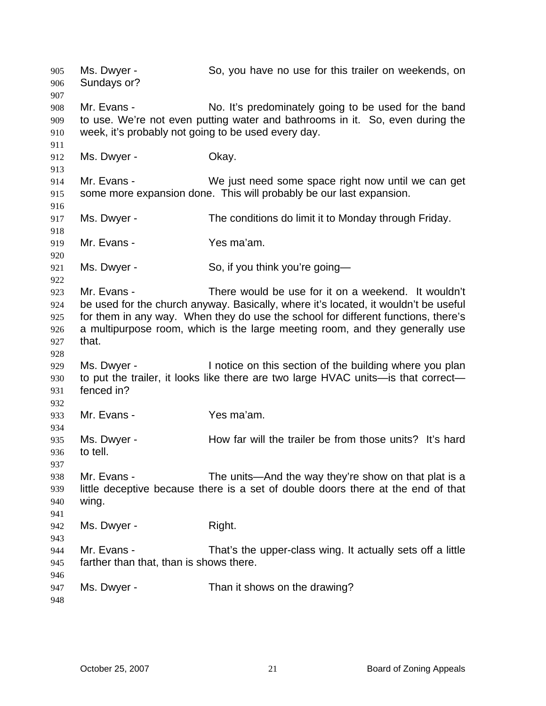Ms. Dwyer - So, you have no use for this trailer on weekends, on Sundays or? 905 906 907 908 909 910 911 912 913 914 915 916 917 918 919 920 921 922 923 924 925 926 927 928 929 930 931 932 933 934 935 936 937 938 939 940 941 942 943 944 945 946 947 948 Mr. Evans - No. It's predominately going to be used for the band to use. We're not even putting water and bathrooms in it. So, even during the week, it's probably not going to be used every day. Ms. Dwyer - Chay. Mr. Evans - We just need some space right now until we can get some more expansion done. This will probably be our last expansion. Ms. Dwyer - The conditions do limit it to Monday through Friday. Mr. Evans - Yes ma'am. Ms. Dwyer - So, if you think you're going— Mr. Evans - There would be use for it on a weekend. It wouldn't be used for the church anyway. Basically, where it's located, it wouldn't be useful for them in any way. When they do use the school for different functions, there's a multipurpose room, which is the large meeting room, and they generally use that. Ms. Dwyer - Inotice on this section of the building where you plan to put the trailer, it looks like there are two large HVAC units—is that correct fenced in? Mr. Evans - Yes ma'am. Ms. Dwyer - How far will the trailer be from those units? It's hard to tell. Mr. Evans - The units—And the way they're show on that plat is a little deceptive because there is a set of double doors there at the end of that wing. Ms. Dwyer - Right. Mr. Evans - That's the upper-class wing. It actually sets off a little farther than that, than is shows there. Ms. Dwyer - Than it shows on the drawing?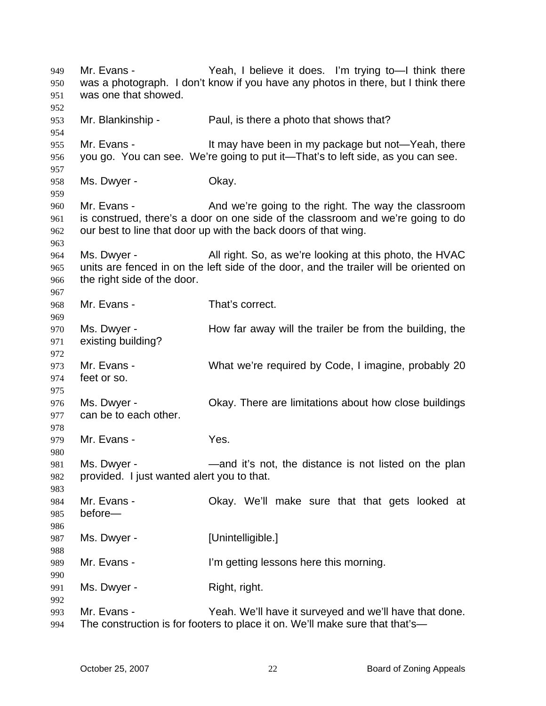Mr. Evans - The Yeah, I believe it does. I'm trying to learn think there was a photograph. I don't know if you have any photos in there, but I think there was one that showed. 949 950 951 952 953 954 955 956 957 958 959 960 961 962 963 964 965 966 967 968 969 970 971 972 973 974 975 976 977 978 979 980 981 982 983 984 985 986 987 988 989 990 991 992 993 994 Mr. Blankinship - Paul, is there a photo that shows that? Mr. Evans - It may have been in my package but not—Yeah, there you go. You can see. We're going to put it—That's to left side, as you can see. Ms. Dwyer - Chay. Mr. Evans - The And we're going to the right. The way the classroom is construed, there's a door on one side of the classroom and we're going to do our best to line that door up with the back doors of that wing. Ms. Dwyer - All right. So, as we're looking at this photo, the HVAC units are fenced in on the left side of the door, and the trailer will be oriented on the right side of the door. Mr. Evans - That's correct. Ms. Dwyer - How far away will the trailer be from the building, the existing building? Mr. Evans - What we're required by Code, I imagine, probably 20 feet or so. Ms. Dwyer - Okay. There are limitations about how close buildings can be to each other. Mr. Evans - Yes. Ms. Dwyer - The mand it's not, the distance is not listed on the plan provided. I just wanted alert you to that. Mr. Evans - Ckay. We'll make sure that that gets looked at before— Ms. Dwyer - [Unintelligible.] Mr. Evans - I'm getting lessons here this morning. Ms. Dwyer - Right, right. Mr. Evans - Yeah. We'll have it surveyed and we'll have that done. The construction is for footers to place it on. We'll make sure that that's—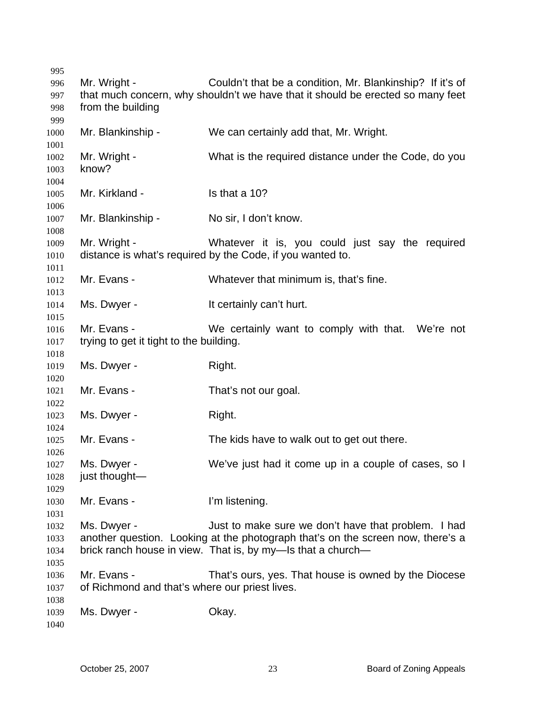Mr. Wright - Couldn't that be a condition, Mr. Blankinship? If it's of that much concern, why shouldn't we have that it should be erected so many feet from the building Mr. Blankinship - We can certainly add that, Mr. Wright. Mr. Wright - What is the required distance under the Code, do you know? Mr. Kirkland - Is that a 10? Mr. Blankinship - No sir, I don't know. Mr. Wright - Whatever it is, you could just say the required distance is what's required by the Code, if you wanted to. Mr. Evans - Whatever that minimum is, that's fine. Ms. Dwyer - It certainly can't hurt. Mr. Evans - We certainly want to comply with that. We're not trying to get it tight to the building. Ms. Dwyer - Right. Mr. Evans - That's not our goal. Ms. Dwyer - Right. Mr. Evans - The kids have to walk out to get out there. Ms. Dwyer - We've just had it come up in a couple of cases, so I just thought— Mr. Evans - I'm listening. Ms. Dwyer - Just to make sure we don't have that problem. I had another question. Looking at the photograph that's on the screen now, there's a brick ranch house in view. That is, by my—Is that a church— Mr. Evans - That's ours, yes. That house is owned by the Diocese of Richmond and that's where our priest lives. Ms. Dwyer - Chay.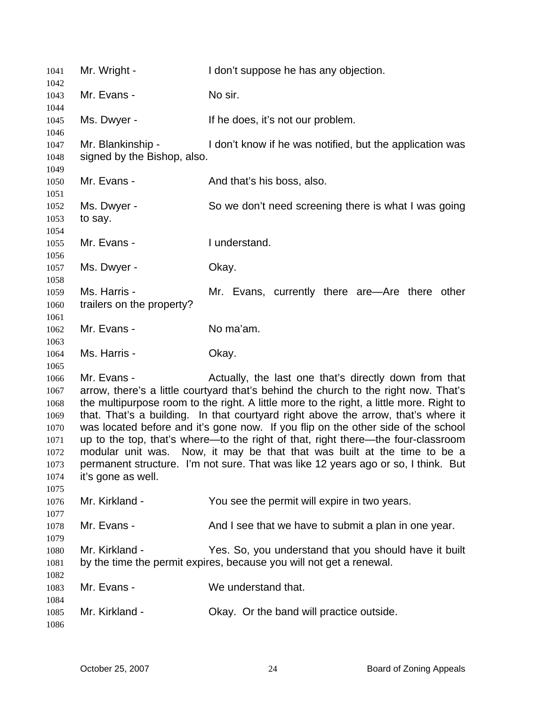| 1041<br>1042                                                                 | Mr. Wright -                                     | I don't suppose he has any objection.                                                                                                                                                                                                                                                                                                                                                                                                                                                                                                                                                                                                                                  |
|------------------------------------------------------------------------------|--------------------------------------------------|------------------------------------------------------------------------------------------------------------------------------------------------------------------------------------------------------------------------------------------------------------------------------------------------------------------------------------------------------------------------------------------------------------------------------------------------------------------------------------------------------------------------------------------------------------------------------------------------------------------------------------------------------------------------|
| 1043                                                                         | Mr. Evans -                                      | No sir.                                                                                                                                                                                                                                                                                                                                                                                                                                                                                                                                                                                                                                                                |
| 1044<br>1045<br>1046                                                         | Ms. Dwyer -                                      | If he does, it's not our problem.                                                                                                                                                                                                                                                                                                                                                                                                                                                                                                                                                                                                                                      |
| 1047<br>1048                                                                 | Mr. Blankinship -<br>signed by the Bishop, also. | I don't know if he was notified, but the application was                                                                                                                                                                                                                                                                                                                                                                                                                                                                                                                                                                                                               |
| 1049<br>1050                                                                 | Mr. Evans -                                      | And that's his boss, also.                                                                                                                                                                                                                                                                                                                                                                                                                                                                                                                                                                                                                                             |
| 1051<br>1052<br>1053<br>1054                                                 | Ms. Dwyer -<br>to say.                           | So we don't need screening there is what I was going                                                                                                                                                                                                                                                                                                                                                                                                                                                                                                                                                                                                                   |
| 1055<br>1056                                                                 | Mr. Evans -                                      | I understand.                                                                                                                                                                                                                                                                                                                                                                                                                                                                                                                                                                                                                                                          |
| 1057<br>1058                                                                 | Ms. Dwyer -                                      | Okay.                                                                                                                                                                                                                                                                                                                                                                                                                                                                                                                                                                                                                                                                  |
| 1059<br>1060<br>1061                                                         | Ms. Harris -<br>trailers on the property?        | Mr. Evans, currently there are—Are there other                                                                                                                                                                                                                                                                                                                                                                                                                                                                                                                                                                                                                         |
| 1062<br>1063                                                                 | Mr. Evans -                                      | No ma'am.                                                                                                                                                                                                                                                                                                                                                                                                                                                                                                                                                                                                                                                              |
| 1064<br>1065                                                                 | Ms. Harris -                                     | Okay.                                                                                                                                                                                                                                                                                                                                                                                                                                                                                                                                                                                                                                                                  |
| 1066<br>1067<br>1068<br>1069<br>1070<br>1071<br>1072<br>1073<br>1074<br>1075 | Mr. Evans -<br>it's gone as well.                | Actually, the last one that's directly down from that<br>arrow, there's a little courtyard that's behind the church to the right now. That's<br>the multipurpose room to the right. A little more to the right, a little more. Right to<br>that. That's a building. In that courtyard right above the arrow, that's where it<br>was located before and it's gone now. If you flip on the other side of the school<br>up to the top, that's where-to the right of that, right there-the four-classroom<br>modular unit was. Now, it may be that that was built at the time to be a<br>permanent structure. I'm not sure. That was like 12 years ago or so, I think. But |
| 1076<br>1077                                                                 | Mr. Kirkland -                                   | You see the permit will expire in two years.                                                                                                                                                                                                                                                                                                                                                                                                                                                                                                                                                                                                                           |
| 1078<br>1079                                                                 | Mr. Evans -                                      | And I see that we have to submit a plan in one year.                                                                                                                                                                                                                                                                                                                                                                                                                                                                                                                                                                                                                   |
| 1080<br>1081                                                                 | Mr. Kirkland -                                   | Yes. So, you understand that you should have it built<br>by the time the permit expires, because you will not get a renewal.                                                                                                                                                                                                                                                                                                                                                                                                                                                                                                                                           |
| 1082<br>1083                                                                 | Mr. Evans -                                      | We understand that.                                                                                                                                                                                                                                                                                                                                                                                                                                                                                                                                                                                                                                                    |
| 1084<br>1085<br>1086                                                         | Mr. Kirkland -                                   | Okay. Or the band will practice outside.                                                                                                                                                                                                                                                                                                                                                                                                                                                                                                                                                                                                                               |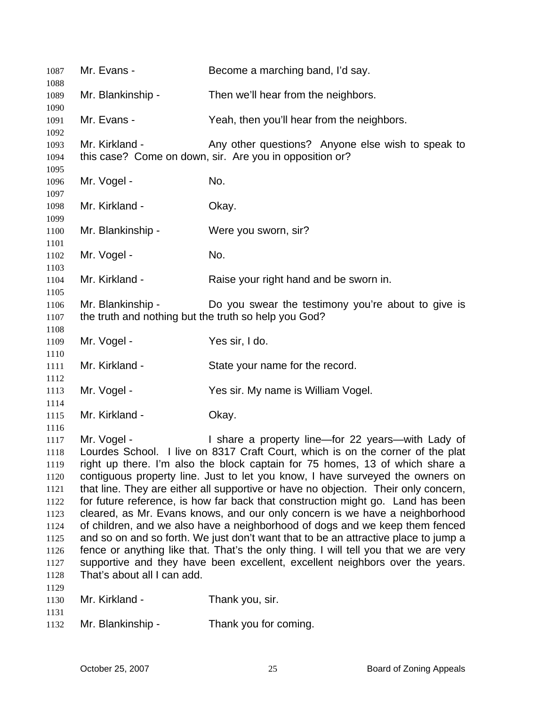| 1087                                                                                                 | Mr. Evans -                                                               | Become a marching band, I'd say.                                                                                                                                                                                                                                                                                                                                                                                                                                                                                                                                                                                                                                                                                                                                                                                                                                                                             |
|------------------------------------------------------------------------------------------------------|---------------------------------------------------------------------------|--------------------------------------------------------------------------------------------------------------------------------------------------------------------------------------------------------------------------------------------------------------------------------------------------------------------------------------------------------------------------------------------------------------------------------------------------------------------------------------------------------------------------------------------------------------------------------------------------------------------------------------------------------------------------------------------------------------------------------------------------------------------------------------------------------------------------------------------------------------------------------------------------------------|
| 1088<br>1089                                                                                         | Mr. Blankinship -                                                         | Then we'll hear from the neighbors.                                                                                                                                                                                                                                                                                                                                                                                                                                                                                                                                                                                                                                                                                                                                                                                                                                                                          |
| 1090<br>1091                                                                                         | Mr. Evans -                                                               | Yeah, then you'll hear from the neighbors.                                                                                                                                                                                                                                                                                                                                                                                                                                                                                                                                                                                                                                                                                                                                                                                                                                                                   |
| 1092<br>1093<br>1094                                                                                 | Mr. Kirkland -                                                            | Any other questions? Anyone else wish to speak to<br>this case? Come on down, sir. Are you in opposition or?                                                                                                                                                                                                                                                                                                                                                                                                                                                                                                                                                                                                                                                                                                                                                                                                 |
| 1095<br>1096                                                                                         | Mr. Vogel -                                                               | No.                                                                                                                                                                                                                                                                                                                                                                                                                                                                                                                                                                                                                                                                                                                                                                                                                                                                                                          |
| 1097<br>1098                                                                                         | Mr. Kirkland -                                                            | Okay.                                                                                                                                                                                                                                                                                                                                                                                                                                                                                                                                                                                                                                                                                                                                                                                                                                                                                                        |
| 1099<br>1100                                                                                         | Mr. Blankinship -                                                         | Were you sworn, sir?                                                                                                                                                                                                                                                                                                                                                                                                                                                                                                                                                                                                                                                                                                                                                                                                                                                                                         |
| 1101<br>1102                                                                                         | Mr. Vogel -                                                               | No.                                                                                                                                                                                                                                                                                                                                                                                                                                                                                                                                                                                                                                                                                                                                                                                                                                                                                                          |
| 1103<br>1104                                                                                         | Mr. Kirkland -                                                            | Raise your right hand and be sworn in.                                                                                                                                                                                                                                                                                                                                                                                                                                                                                                                                                                                                                                                                                                                                                                                                                                                                       |
| 1105<br>1106<br>1107                                                                                 | Mr. Blankinship -<br>the truth and nothing but the truth so help you God? | Do you swear the testimony you're about to give is                                                                                                                                                                                                                                                                                                                                                                                                                                                                                                                                                                                                                                                                                                                                                                                                                                                           |
| 1108<br>1109                                                                                         | Mr. Vogel -                                                               | Yes sir, I do.                                                                                                                                                                                                                                                                                                                                                                                                                                                                                                                                                                                                                                                                                                                                                                                                                                                                                               |
| 1110<br>1111                                                                                         | Mr. Kirkland -                                                            | State your name for the record.                                                                                                                                                                                                                                                                                                                                                                                                                                                                                                                                                                                                                                                                                                                                                                                                                                                                              |
| 1112<br>1113                                                                                         | Mr. Vogel -                                                               | Yes sir. My name is William Vogel.                                                                                                                                                                                                                                                                                                                                                                                                                                                                                                                                                                                                                                                                                                                                                                                                                                                                           |
| 1114<br>1115                                                                                         | Mr. Kirkland -                                                            | Okay.                                                                                                                                                                                                                                                                                                                                                                                                                                                                                                                                                                                                                                                                                                                                                                                                                                                                                                        |
| 1116<br>1117<br>1118<br>1119<br>1120<br>1121<br>1122<br>1123<br>1124<br>1125<br>1126<br>1127<br>1128 | Mr. Vogel -<br>That's about all I can add.                                | I share a property line-for 22 years-with Lady of<br>Lourdes School. I live on 8317 Craft Court, which is on the corner of the plat<br>right up there. I'm also the block captain for 75 homes, 13 of which share a<br>contiguous property line. Just to let you know, I have surveyed the owners on<br>that line. They are either all supportive or have no objection. Their only concern,<br>for future reference, is how far back that construction might go. Land has been<br>cleared, as Mr. Evans knows, and our only concern is we have a neighborhood<br>of children, and we also have a neighborhood of dogs and we keep them fenced<br>and so on and so forth. We just don't want that to be an attractive place to jump a<br>fence or anything like that. That's the only thing. I will tell you that we are very<br>supportive and they have been excellent, excellent neighbors over the years. |
| 1129<br>1130<br>1131                                                                                 | Mr. Kirkland -                                                            | Thank you, sir.                                                                                                                                                                                                                                                                                                                                                                                                                                                                                                                                                                                                                                                                                                                                                                                                                                                                                              |
| 1132                                                                                                 | Mr. Blankinship -                                                         | Thank you for coming.                                                                                                                                                                                                                                                                                                                                                                                                                                                                                                                                                                                                                                                                                                                                                                                                                                                                                        |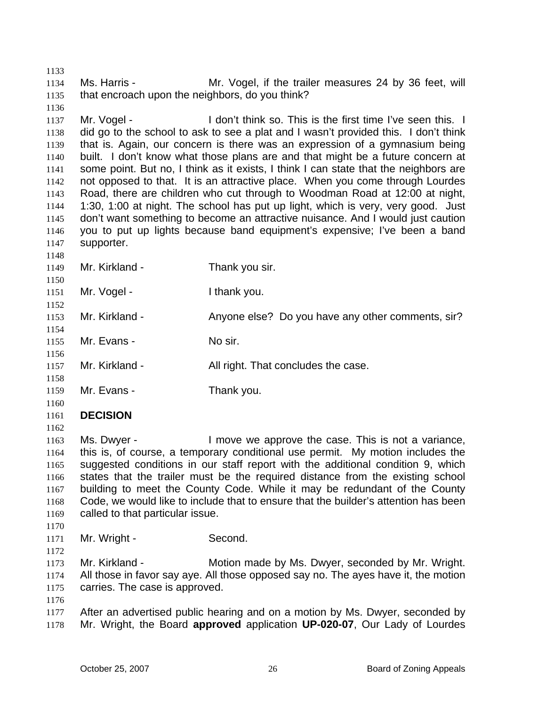1133 1134 1135 1136 1137 1138 1139 1140 1141 1142 1143 1144 1145 1146 1147 1148 1149 1150 1151 1152 1153 1154 1155 1156 1157 1158 1159 1160 1161 1162 1163 1164 1165 1166 1167 1168 1169 1170 1171 1172 1173 1174 1175 1176 1177 1178 Ms. Harris - The Mr. Vogel, if the trailer measures 24 by 36 feet, will that encroach upon the neighbors, do you think? Mr. Vogel - This is the first time I've seen this. I did go to the school to ask to see a plat and I wasn't provided this. I don't think that is. Again, our concern is there was an expression of a gymnasium being built. I don't know what those plans are and that might be a future concern at some point. But no, I think as it exists, I think I can state that the neighbors are not opposed to that. It is an attractive place. When you come through Lourdes Road, there are children who cut through to Woodman Road at 12:00 at night, 1:30, 1:00 at night. The school has put up light, which is very, very good. Just don't want something to become an attractive nuisance. And I would just caution you to put up lights because band equipment's expensive; I've been a band supporter. Mr. Kirkland - Thank you sir. Mr. Vogel - Thank you. Mr. Kirkland - Anyone else? Do you have any other comments, sir? Mr. Evans - No sir. Mr. Kirkland - All right. That concludes the case. Mr. Evans - Thank you. **DECISION**  Ms. Dwyer - I move we approve the case. This is not a variance, this is, of course, a temporary conditional use permit. My motion includes the suggested conditions in our staff report with the additional condition 9, which states that the trailer must be the required distance from the existing school building to meet the County Code. While it may be redundant of the County Code, we would like to include that to ensure that the builder's attention has been called to that particular issue. Mr. Wright - Second. Mr. Kirkland - Motion made by Ms. Dwyer, seconded by Mr. Wright. All those in favor say aye. All those opposed say no. The ayes have it, the motion carries. The case is approved. After an advertised public hearing and on a motion by Ms. Dwyer, seconded by Mr. Wright, the Board **approved** application **UP-020-07**, Our Lady of Lourdes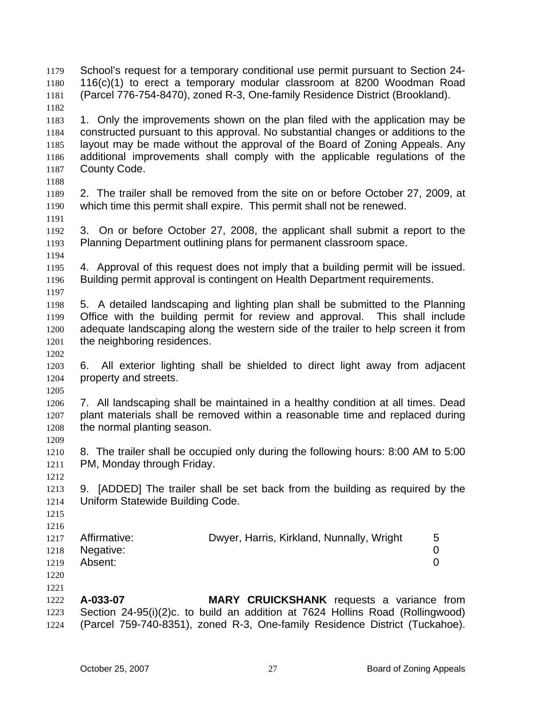School's request for a temporary conditional use permit pursuant to Section 24- 116(c)(1) to erect a temporary modular classroom at 8200 Woodman Road (Parcel 776-754-8470), zoned R-3, One-family Residence District (Brookland). 1179 1180 1181 1182

1183 1184 1185 1186 1187 1. Only the improvements shown on the plan filed with the application may be constructed pursuant to this approval. No substantial changes or additions to the layout may be made without the approval of the Board of Zoning Appeals. Any additional improvements shall comply with the applicable regulations of the County Code.

1188

1191

1189 1190 2. The trailer shall be removed from the site on or before October 27, 2009, at which time this permit shall expire. This permit shall not be renewed.

1192 1193 3. On or before October 27, 2008, the applicant shall submit a report to the Planning Department outlining plans for permanent classroom space.

1194

1197

1195 1196 4. Approval of this request does not imply that a building permit will be issued. Building permit approval is contingent on Health Department requirements.

1198 1199 1200 1201 5. A detailed landscaping and lighting plan shall be submitted to the Planning Office with the building permit for review and approval. This shall include adequate landscaping along the western side of the trailer to help screen it from the neighboring residences.

1202

1205

1209

1212

1215

1203 1204 6. All exterior lighting shall be shielded to direct light away from adjacent property and streets.

1206 1207 1208 7. All landscaping shall be maintained in a healthy condition at all times. Dead plant materials shall be removed within a reasonable time and replaced during the normal planting season.

1210 1211 8. The trailer shall be occupied only during the following hours: 8:00 AM to 5:00 PM, Monday through Friday.

1213 1214 9. [ADDED] The trailer shall be set back from the building as required by the Uniform Statewide Building Code.

- 1216 1217 1218 1219 Affirmative: Dwyer, Harris, Kirkland, Nunnally, Wright 5 Negative: 0 Absent: 0
- 1220 1221

1222 1223 1224 **A-033-07 MARY CRUICKSHANK** requests a variance from Section 24-95(i)(2)c. to build an addition at 7624 Hollins Road (Rollingwood) (Parcel 759-740-8351), zoned R-3, One-family Residence District (Tuckahoe).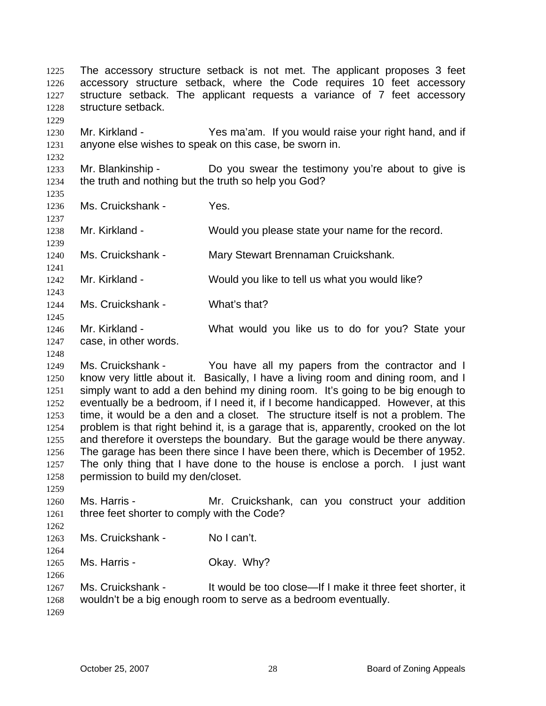The accessory structure setback is not met. The applicant proposes 3 feet accessory structure setback, where the Code requires 10 feet accessory structure setback. The applicant requests a variance of 7 feet accessory structure setback. 1225 1226 1227 1228 1229 1230 1231 1232 1233 1234 1235 1236 1237 1238 1239 1240 1241 1242 1243 1244 1245 1246 1247 1248 1249 1250 1251 1252 1253 1254 1255 1256 1257 1258 1259 1260 1261 1262 1263 1264 1265 1266 1267 Mr. Kirkland - Yes ma'am. If you would raise your right hand, and if anyone else wishes to speak on this case, be sworn in. Mr. Blankinship - Do you swear the testimony you're about to give is the truth and nothing but the truth so help you God? Ms. Cruickshank - Yes. Mr. Kirkland - Would you please state your name for the record. Ms. Cruickshank - Mary Stewart Brennaman Cruickshank. Mr. Kirkland - Would you like to tell us what you would like? Ms. Cruickshank - What's that? Mr. Kirkland - What would you like us to do for you? State your case, in other words. Ms. Cruickshank - You have all my papers from the contractor and I know very little about it. Basically, I have a living room and dining room, and I simply want to add a den behind my dining room. It's going to be big enough to eventually be a bedroom, if I need it, if I become handicapped. However, at this time, it would be a den and a closet. The structure itself is not a problem. The problem is that right behind it, is a garage that is, apparently, crooked on the lot and therefore it oversteps the boundary. But the garage would be there anyway. The garage has been there since I have been there, which is December of 1952. The only thing that I have done to the house is enclose a porch. I just want permission to build my den/closet. Ms. Harris - The Mr. Cruickshank, can you construct your addition three feet shorter to comply with the Code? Ms. Cruickshank - No I can't. Ms. Harris - Chay. Why? Ms. Cruickshank - It would be too close—If I make it three feet shorter, it wouldn't be a big enough room to serve as a bedroom eventually.

1268 1269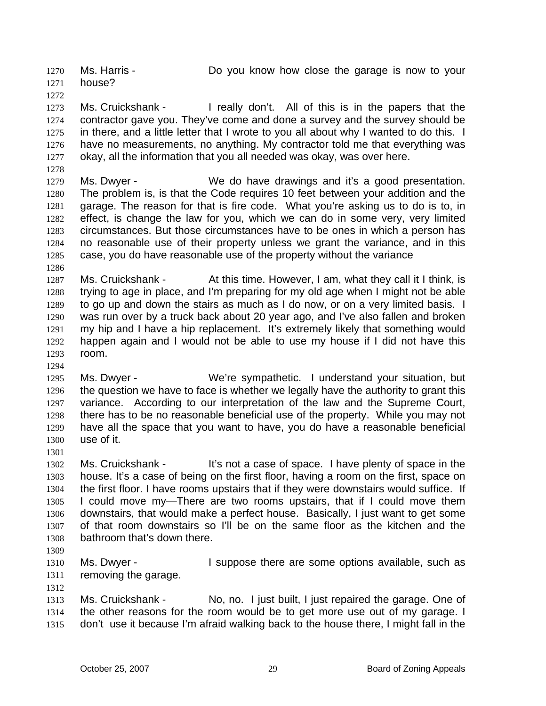Ms. Harris - Do you know how close the garage is now to your house? 1270 1271 1272

1273 1274 1275 1276 1277 Ms. Cruickshank - I really don't. All of this is in the papers that the contractor gave you. They've come and done a survey and the survey should be in there, and a little letter that I wrote to you all about why I wanted to do this. I have no measurements, no anything. My contractor told me that everything was okay, all the information that you all needed was okay, was over here.

1279 1280 1281 1282 1283 1284 1285 Ms. Dwyer - We do have drawings and it's a good presentation. The problem is, is that the Code requires 10 feet between your addition and the garage. The reason for that is fire code. What you're asking us to do is to, in effect, is change the law for you, which we can do in some very, very limited circumstances. But those circumstances have to be ones in which a person has no reasonable use of their property unless we grant the variance, and in this case, you do have reasonable use of the property without the variance

1287 1288 1289 1290 1291 1292 1293 Ms. Cruickshank - At this time. However, I am, what they call it I think, is trying to age in place, and I'm preparing for my old age when I might not be able to go up and down the stairs as much as I do now, or on a very limited basis. I was run over by a truck back about 20 year ago, and I've also fallen and broken my hip and I have a hip replacement. It's extremely likely that something would happen again and I would not be able to use my house if I did not have this room.

1295 1296 1297 1298 1299 1300 Ms. Dwyer - We're sympathetic. I understand your situation, but the question we have to face is whether we legally have the authority to grant this variance. According to our interpretation of the law and the Supreme Court, there has to be no reasonable beneficial use of the property. While you may not have all the space that you want to have, you do have a reasonable beneficial use of it.

1302 1303 1304 1305 1306 1307 1308 Ms. Cruickshank - It's not a case of space. I have plenty of space in the house. It's a case of being on the first floor, having a room on the first, space on the first floor. I have rooms upstairs that if they were downstairs would suffice. If I could move my—There are two rooms upstairs, that if I could move them downstairs, that would make a perfect house. Basically, I just want to get some of that room downstairs so I'll be on the same floor as the kitchen and the bathroom that's down there.

1309

1312

1278

1286

1294

1301

1310 1311 Ms. Dwyer - The Suppose there are some options available, such as removing the garage.

1313 1314 1315 Ms. Cruickshank - No, no. I just built, I just repaired the garage. One of the other reasons for the room would be to get more use out of my garage. I don't use it because I'm afraid walking back to the house there, I might fall in the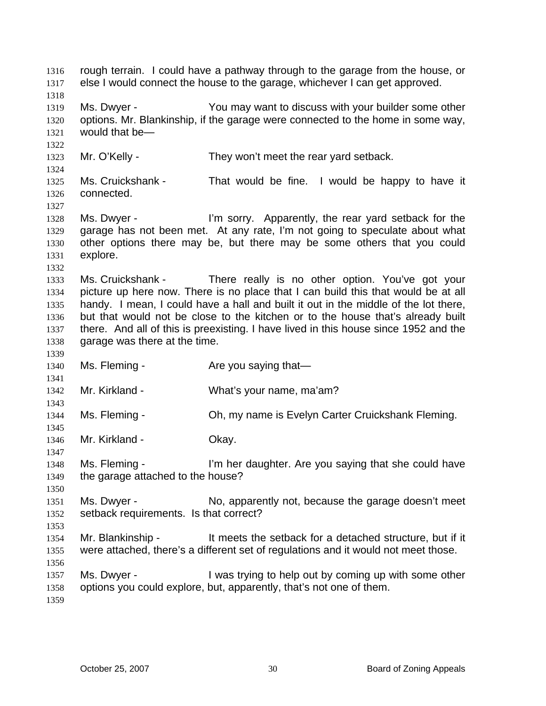rough terrain. I could have a pathway through to the garage from the house, or else I would connect the house to the garage, whichever I can get approved. 1316 1317 1318 1319 1320 1321 1322 1323 1324 1325 1326 1327 1328 1329 1330 1331 1332 1333 1334 1335 1336 1337 1338 1339 1340 1341 1342 1343 1344 1345 1346 1347 1348 1349 1350 1351 1352 1353 1354 1355 1356 1357 1358 1359 Ms. Dwyer - You may want to discuss with your builder some other options. Mr. Blankinship, if the garage were connected to the home in some way, would that be— Mr. O'Kelly - They won't meet the rear yard setback. Ms. Cruickshank - That would be fine. I would be happy to have it connected. Ms. Dwyer - I'm sorry. Apparently, the rear yard setback for the garage has not been met. At any rate, I'm not going to speculate about what other options there may be, but there may be some others that you could explore. Ms. Cruickshank - There really is no other option. You've got your picture up here now. There is no place that I can build this that would be at all handy. I mean, I could have a hall and built it out in the middle of the lot there, but that would not be close to the kitchen or to the house that's already built there. And all of this is preexisting. I have lived in this house since 1952 and the garage was there at the time. Ms. Fleming - The Are you saying that— Mr. Kirkland - What's your name, ma'am? Ms. Fleming - Ch, my name is Evelyn Carter Cruickshank Fleming. Mr. Kirkland - **Okay.** Ms. Fleming - I'm her daughter. Are you saying that she could have the garage attached to the house? Ms. Dwyer - No, apparently not, because the garage doesn't meet setback requirements. Is that correct? Mr. Blankinship - It meets the setback for a detached structure, but if it were attached, there's a different set of regulations and it would not meet those. Ms. Dwyer - I was trying to help out by coming up with some other options you could explore, but, apparently, that's not one of them.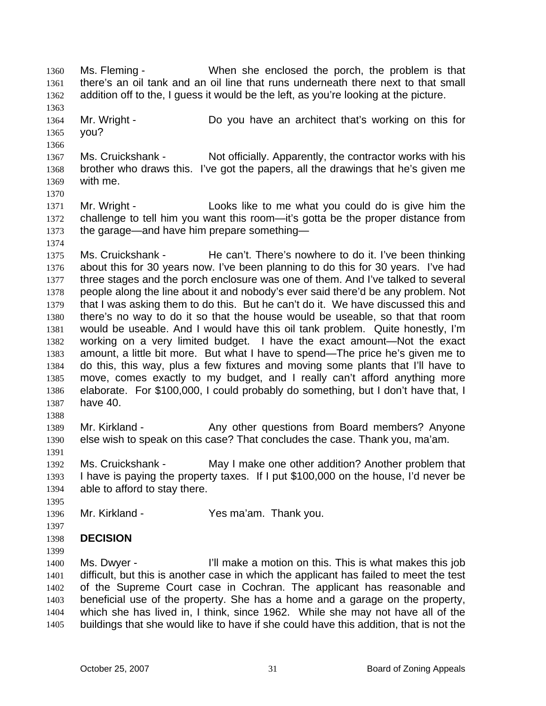Ms. Fleming - When she enclosed the porch, the problem is that there's an oil tank and an oil line that runs underneath there next to that small addition off to the, I guess it would be the left, as you're looking at the picture. 1360 1361 1362 1363 1364 1365 1366 1367 1368 1369 1370 1371 1372 1373 1374 1375 1376 1377 1378 1379 1380 1381 1382 1383 1384 1385 1386 1387 1388 1389 1390 1391 1392 1393 1394 1395 1396 1397 1398 1399 1400 1401 1402 1403 1404 1405 Mr. Wright - Do you have an architect that's working on this for you? Ms. Cruickshank - Not officially. Apparently, the contractor works with his brother who draws this. I've got the papers, all the drawings that he's given me with me. Mr. Wright - Looks like to me what you could do is give him the challenge to tell him you want this room—it's gotta be the proper distance from the garage—and have him prepare something— Ms. Cruickshank - He can't. There's nowhere to do it. I've been thinking about this for 30 years now. I've been planning to do this for 30 years. I've had three stages and the porch enclosure was one of them. And I've talked to several people along the line about it and nobody's ever said there'd be any problem. Not that I was asking them to do this. But he can't do it. We have discussed this and there's no way to do it so that the house would be useable, so that that room would be useable. And I would have this oil tank problem. Quite honestly, I'm working on a very limited budget. I have the exact amount—Not the exact amount, a little bit more. But what I have to spend—The price he's given me to do this, this way, plus a few fixtures and moving some plants that I'll have to move, comes exactly to my budget, and I really can't afford anything more elaborate. For \$100,000, I could probably do something, but I don't have that, I have 40. Mr. Kirkland - The Any other questions from Board members? Anyone else wish to speak on this case? That concludes the case. Thank you, ma'am. Ms. Cruickshank - May I make one other addition? Another problem that I have is paying the property taxes. If I put \$100,000 on the house, I'd never be able to afford to stay there. Mr. Kirkland - Yes ma'am. Thank you. **DECISION**  Ms. Dwyer - I'll make a motion on this. This is what makes this job difficult, but this is another case in which the applicant has failed to meet the test of the Supreme Court case in Cochran. The applicant has reasonable and beneficial use of the property. She has a home and a garage on the property, which she has lived in, I think, since 1962. While she may not have all of the buildings that she would like to have if she could have this addition, that is not the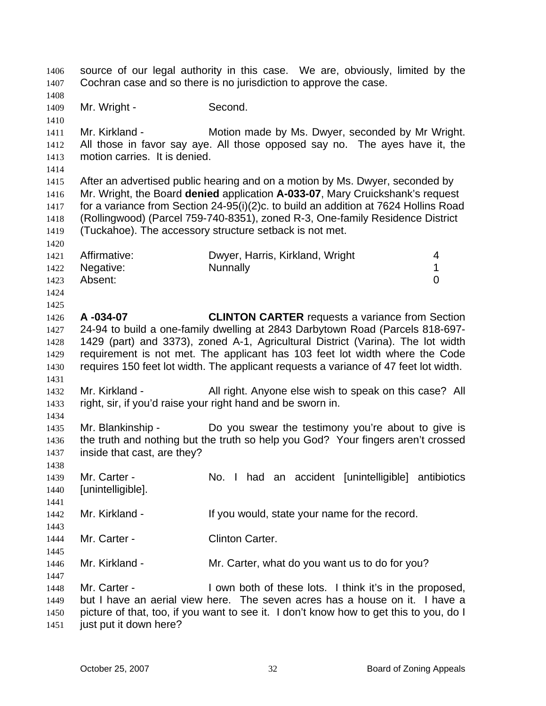source of our legal authority in this case. We are, obviously, limited by the Cochran case and so there is no jurisdiction to approve the case. 1406 1407 1408 1409 1410 1411 1412 1413 1414 1415 1416 1417 1418 1419 1420 1421 1422 1423 1424 1425 1426 1427 1428 1429 1430 1431 1432 1433 1434 1435 1436 1437 1438 1439 1440 1441 1442 1443 1444 1445 1446 1447 1448 1449 1450 1451 Mr. Wright - Second. Mr. Kirkland - **Motion made by Ms. Dwyer, seconded by Mr Wright.** All those in favor say aye. All those opposed say no. The ayes have it, the motion carries. It is denied. After an advertised public hearing and on a motion by Ms. Dwyer, seconded by Mr. Wright, the Board **denied** application **A-033-07**, Mary Cruickshank's request for a variance from Section 24-95(i)(2)c. to build an addition at 7624 Hollins Road (Rollingwood) (Parcel 759-740-8351), zoned R-3, One-family Residence District (Tuckahoe). The accessory structure setback is not met. Affirmative: Dwyer, Harris, Kirkland, Wright 4 Negative: Nunnally 1 Absent: 0 **A -034-07 CLINTON CARTER** requests a variance from Section 24-94 to build a one-family dwelling at 2843 Darbytown Road (Parcels 818-697- 1429 (part) and 3373), zoned A-1, Agricultural District (Varina). The lot width requirement is not met. The applicant has 103 feet lot width where the Code requires 150 feet lot width. The applicant requests a variance of 47 feet lot width. Mr. Kirkland - All right. Anyone else wish to speak on this case? All right, sir, if you'd raise your right hand and be sworn in. Mr. Blankinship - The Do you swear the testimony you're about to give is the truth and nothing but the truth so help you God? Your fingers aren't crossed inside that cast, are they? Mr. Carter - The No. I had an accident [unintelligible] antibiotics [unintelligible]. Mr. Kirkland - The Muslim State your name for the record. Mr. Carter - Clinton Carter. Mr. Kirkland - Mr. Carter, what do you want us to do for you? Mr. Carter - I own both of these lots. I think it's in the proposed, but I have an aerial view here. The seven acres has a house on it. I have a picture of that, too, if you want to see it. I don't know how to get this to you, do I just put it down here?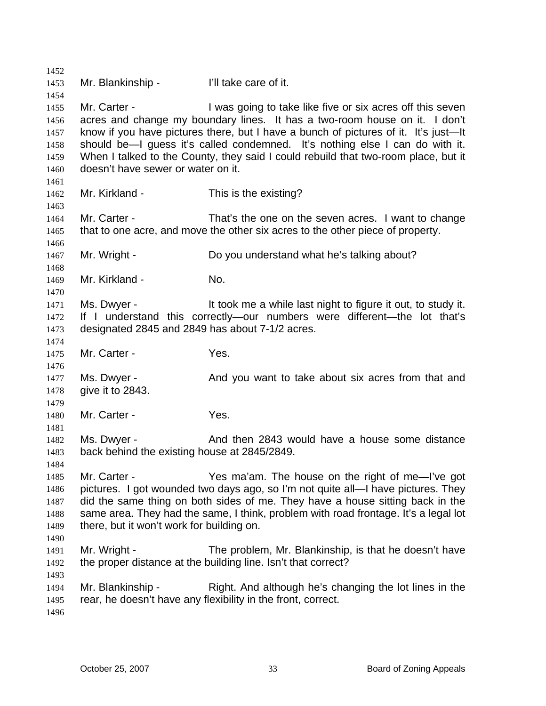1452 1453 1454 1455 1456 1457 1458 1459 1460 1461 1462 1463 1464 1465 1466 1467 1468 1469 1470 1471 1472 1473 1474 1475 1476 1477 1478 1479 1480 1481 1482 1483 1484 1485 1486 1487 1488 1489 1490 1491 1492 1493 1494 1495 1496 Mr. Blankinship - Till take care of it. Mr. Carter - **I** was going to take like five or six acres off this seven acres and change my boundary lines. It has a two-room house on it. I don't know if you have pictures there, but I have a bunch of pictures of it. It's just—It should be—I guess it's called condemned. It's nothing else I can do with it. When I talked to the County, they said I could rebuild that two-room place, but it doesn't have sewer or water on it. Mr. Kirkland - This is the existing? Mr. Carter - That's the one on the seven acres. I want to change that to one acre, and move the other six acres to the other piece of property. Mr. Wright - Do you understand what he's talking about? Mr. Kirkland - No. Ms. Dwyer - It took me a while last night to figure it out, to study it. If I understand this correctly—our numbers were different—the lot that's designated 2845 and 2849 has about 7-1/2 acres. Mr. Carter - The Yes. Ms. Dwyer - And you want to take about six acres from that and give it to 2843. Mr. Carter - Yes. Ms. Dwyer - And then 2843 would have a house some distance back behind the existing house at 2845/2849. Mr. Carter - The Yes ma'am. The house on the right of me-I've got pictures. I got wounded two days ago, so I'm not quite all—I have pictures. They did the same thing on both sides of me. They have a house sitting back in the same area. They had the same, I think, problem with road frontage. It's a legal lot there, but it won't work for building on. Mr. Wright - The problem, Mr. Blankinship, is that he doesn't have the proper distance at the building line. Isn't that correct? Mr. Blankinship - Right. And although he's changing the lot lines in the rear, he doesn't have any flexibility in the front, correct.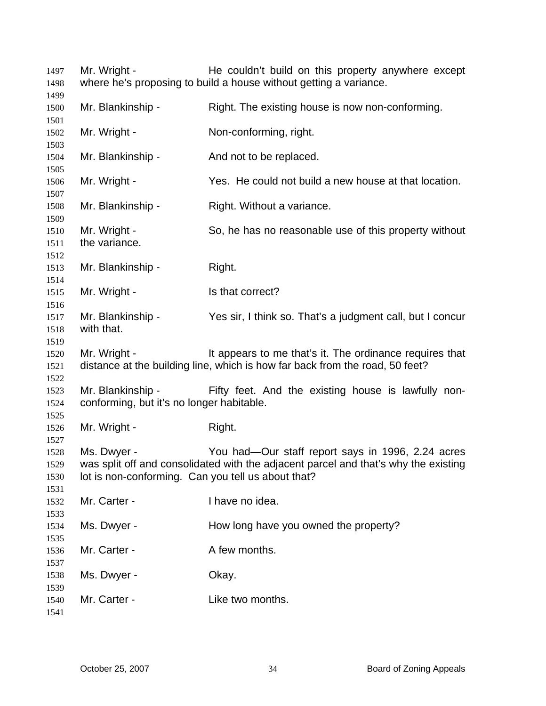Mr. Wright - The couldn't build on this property anywhere except where he's proposing to build a house without getting a variance. Mr. Blankinship - Right. The existing house is now non-conforming. Mr. Wright - Non-conforming, right. Mr. Blankinship - And not to be replaced. Mr. Wright - Yes. He could not build a new house at that location. Mr. Blankinship - Right. Without a variance. Mr. Wright - So, he has no reasonable use of this property without the variance. Mr. Blankinship - Right. Mr. Wright - Is that correct? Mr. Blankinship - Yes sir, I think so. That's a judgment call, but I concur with that. Mr. Wright - It appears to me that's it. The ordinance requires that distance at the building line, which is how far back from the road, 50 feet? Mr. Blankinship - Tifty feet. And the existing house is lawfully nonconforming, but it's no longer habitable. Mr. Wright - Right. Ms. Dwyer - You had—Our staff report says in 1996, 2.24 acres was split off and consolidated with the adjacent parcel and that's why the existing lot is non-conforming. Can you tell us about that? Mr. Carter - Thave no idea. Ms. Dwyer - How long have you owned the property? Mr. Carter - A few months. Ms. Dwyer - Chay. Mr. Carter - The Like two months.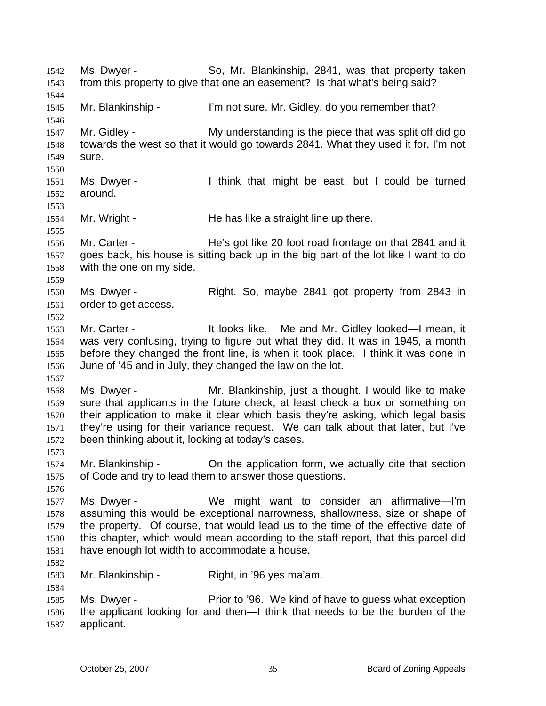Ms. Dwyer - So, Mr. Blankinship, 2841, was that property taken from this property to give that one an easement? Is that what's being said? 1542 1543 1544 1545 1546 1547 1548 1549 1550 1551 1552 1553 1554 1555 1556 1557 1558 1559 1560 1561 1562 1563 1564 1565 1566 1567 1568 1569 1570 1571 1572 1573 1574 1575 1576 1577 1578 1579 1580 1581 1582 1583 1584 1585 1586 1587 Mr. Blankinship - I'm not sure. Mr. Gidley, do you remember that? Mr. Gidley - My understanding is the piece that was split off did go towards the west so that it would go towards 2841. What they used it for, I'm not sure. Ms. Dwyer - I think that might be east, but I could be turned around. Mr. Wright - The has like a straight line up there. Mr. Carter - He's got like 20 foot road frontage on that 2841 and it goes back, his house is sitting back up in the big part of the lot like I want to do with the one on my side. Ms. Dwyer - Right. So, maybe 2841 got property from 2843 in order to get access. Mr. Carter - The Muslim Hundels like. Me and Mr. Gidley looked—I mean, it was very confusing, trying to figure out what they did. It was in 1945, a month before they changed the front line, is when it took place. I think it was done in June of '45 and in July, they changed the law on the lot. Ms. Dwyer - Mr. Blankinship, just a thought. I would like to make sure that applicants in the future check, at least check a box or something on their application to make it clear which basis they're asking, which legal basis they're using for their variance request. We can talk about that later, but I've been thinking about it, looking at today's cases. Mr. Blankinship - Chemical application form, we actually cite that section of Code and try to lead them to answer those questions. Ms. Dwyer - We might want to consider an affirmative—I'm assuming this would be exceptional narrowness, shallowness, size or shape of the property. Of course, that would lead us to the time of the effective date of this chapter, which would mean according to the staff report, that this parcel did have enough lot width to accommodate a house. Mr. Blankinship - Right, in '96 yes ma'am. Ms. Dwyer - Prior to '96. We kind of have to guess what exception the applicant looking for and then—I think that needs to be the burden of the applicant.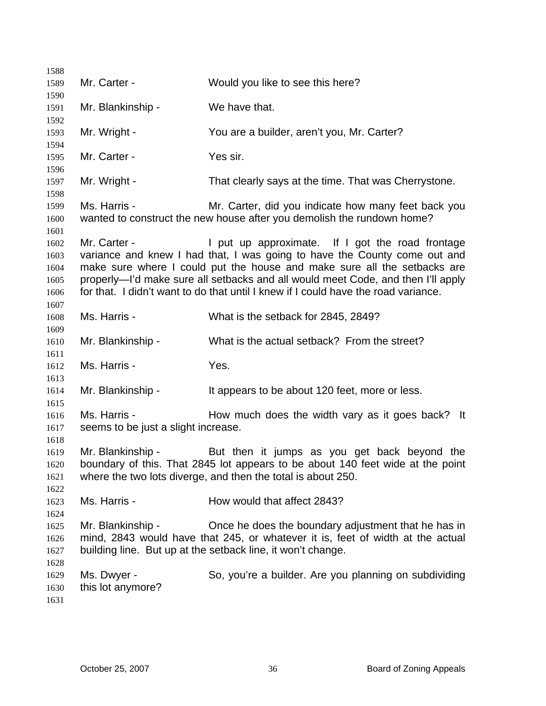| 1588         |                                     |                                                                                                                                                |
|--------------|-------------------------------------|------------------------------------------------------------------------------------------------------------------------------------------------|
| 1589         | Mr. Carter -                        | Would you like to see this here?                                                                                                               |
| 1590         |                                     |                                                                                                                                                |
| 1591         | Mr. Blankinship -                   | We have that.                                                                                                                                  |
| 1592         |                                     |                                                                                                                                                |
| 1593         | Mr. Wright -                        | You are a builder, aren't you, Mr. Carter?                                                                                                     |
| 1594         |                                     |                                                                                                                                                |
| 1595         | Mr. Carter -                        | Yes sir.                                                                                                                                       |
| 1596         |                                     |                                                                                                                                                |
| 1597         | Mr. Wright -                        | That clearly says at the time. That was Cherrystone.                                                                                           |
| 1598<br>1599 | Ms. Harris -                        | Mr. Carter, did you indicate how many feet back you                                                                                            |
| 1600         |                                     | wanted to construct the new house after you demolish the rundown home?                                                                         |
| 1601         |                                     |                                                                                                                                                |
| 1602         | Mr. Carter -                        | I put up approximate. If I got the road frontage                                                                                               |
| 1603         |                                     | variance and knew I had that, I was going to have the County come out and                                                                      |
| 1604         |                                     | make sure where I could put the house and make sure all the setbacks are                                                                       |
| 1605         |                                     | properly—I'd make sure all setbacks and all would meet Code, and then I'll apply                                                               |
| 1606         |                                     | for that. I didn't want to do that until I knew if I could have the road variance.                                                             |
| 1607         |                                     |                                                                                                                                                |
| 1608         | Ms. Harris -                        | What is the setback for 2845, 2849?                                                                                                            |
| 1609         |                                     |                                                                                                                                                |
| 1610         | Mr. Blankinship -                   | What is the actual setback? From the street?                                                                                                   |
| 1611         |                                     |                                                                                                                                                |
| 1612         | Ms. Harris -                        | Yes.                                                                                                                                           |
| 1613         |                                     |                                                                                                                                                |
| 1614         | Mr. Blankinship -                   | It appears to be about 120 feet, more or less.                                                                                                 |
| 1615         |                                     |                                                                                                                                                |
| 1616         | Ms. Harris -                        | How much does the width vary as it goes back? It                                                                                               |
| 1617         | seems to be just a slight increase. |                                                                                                                                                |
| 1618         |                                     |                                                                                                                                                |
| 1619         | Mr. Blankinship -                   | But then it jumps as you get back beyond the                                                                                                   |
| 1620         |                                     | boundary of this. That 2845 lot appears to be about 140 feet wide at the point<br>where the two lots diverge, and then the total is about 250. |
| 1621<br>1622 |                                     |                                                                                                                                                |
| 1623         | Ms. Harris -                        | How would that affect 2843?                                                                                                                    |
| 1624         |                                     |                                                                                                                                                |
| 1625         | Mr. Blankinship -                   | Once he does the boundary adjustment that he has in                                                                                            |
| 1626         |                                     | mind, 2843 would have that 245, or whatever it is, feet of width at the actual                                                                 |
| 1627         |                                     | building line. But up at the setback line, it won't change.                                                                                    |
| 1628         |                                     |                                                                                                                                                |
| 1629         | Ms. Dwyer -                         | So, you're a builder. Are you planning on subdividing                                                                                          |
| 1630         | this lot anymore?                   |                                                                                                                                                |
| 1631         |                                     |                                                                                                                                                |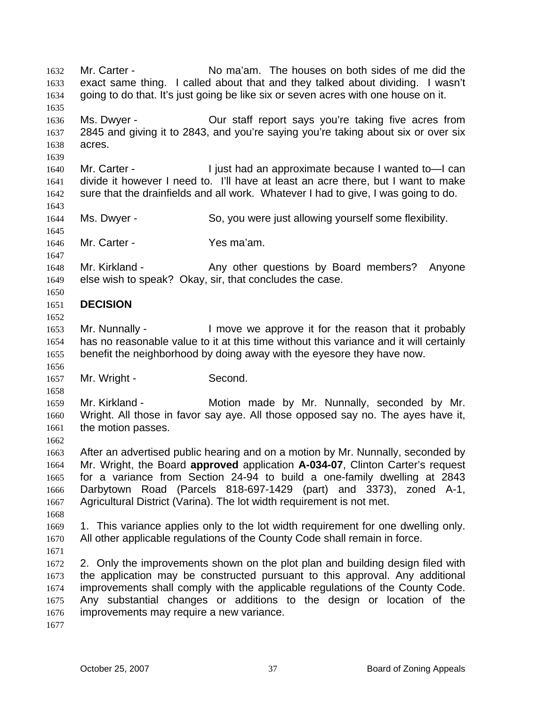Mr. Carter - No ma'am. The houses on both sides of me did the exact same thing. I called about that and they talked about dividing. I wasn't going to do that. It's just going be like six or seven acres with one house on it. 1632 1633 1634 1635 1636 1637 1638 1639 1640 1641 1642 1643 1644 1645 1646 1647 1648 1649 1650 1651 1652 1653 1654 1655 1656 1657 1658 1659 1660 1661 1662 1663 1664 1665 1666 1667 1668 1669 1670 1671 1672 1673 1674 1675 1676 1677 Ms. Dwyer - Our staff report says you're taking five acres from 2845 and giving it to 2843, and you're saying you're taking about six or over six acres. Mr. Carter - I just had an approximate because I wanted to -I can divide it however I need to. I'll have at least an acre there, but I want to make sure that the drainfields and all work. Whatever I had to give, I was going to do. Ms. Dwyer - So, you were just allowing yourself some flexibility. Mr. Carter - Yes ma'am. Mr. Kirkland - The Any other questions by Board members? Anyone else wish to speak? Okay, sir, that concludes the case. **DECISION**  Mr. Nunnally - I move we approve it for the reason that it probably has no reasonable value to it at this time without this variance and it will certainly benefit the neighborhood by doing away with the eyesore they have now. Mr. Wright - Second. Mr. Kirkland - The Motion made by Mr. Nunnally, seconded by Mr. Wright. All those in favor say aye. All those opposed say no. The ayes have it, the motion passes. After an advertised public hearing and on a motion by Mr. Nunnally, seconded by Mr. Wright, the Board **approved** application **A-034-07**, Clinton Carter's request for a variance from Section 24-94 to build a one-family dwelling at 2843 Darbytown Road (Parcels 818-697-1429 (part) and 3373), zoned A-1, Agricultural District (Varina). The lot width requirement is not met. 1. This variance applies only to the lot width requirement for one dwelling only. All other applicable regulations of the County Code shall remain in force. 2. Only the improvements shown on the plot plan and building design filed with the application may be constructed pursuant to this approval. Any additional improvements shall comply with the applicable regulations of the County Code. Any substantial changes or additions to the design or location of the improvements may require a new variance.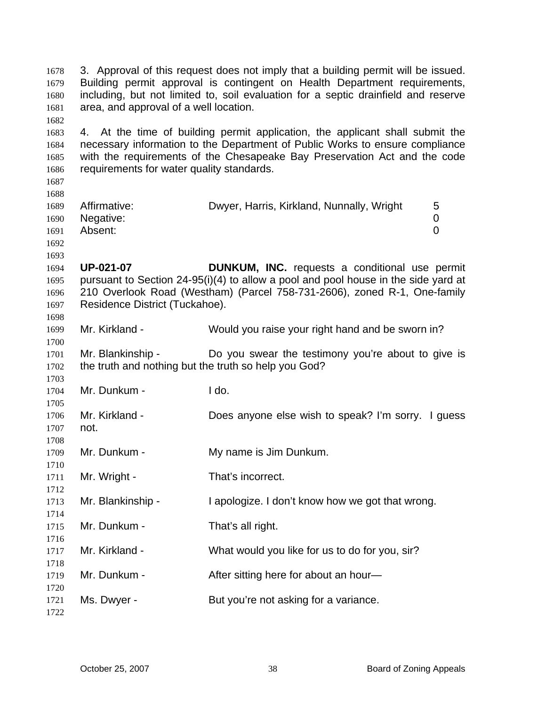3. Approval of this request does not imply that a building permit will be issued. Building permit approval is contingent on Health Department requirements, including, but not limited to, soil evaluation for a septic drainfield and reserve area, and approval of a well location. 4. At the time of building permit application, the applicant shall submit the necessary information to the Department of Public Works to ensure compliance with the requirements of the Chesapeake Bay Preservation Act and the code requirements for water quality standards. Affirmative: Dwyer, Harris, Kirkland, Nunnally, Wright 5 Negative: 0 Absent: 0 **UP-021-07 DUNKUM, INC.** requests a conditional use permit pursuant to Section 24-95(i)(4) to allow a pool and pool house in the side yard at 210 Overlook Road (Westham) (Parcel 758-731-2606), zoned R-1, One-family Residence District (Tuckahoe). Mr. Kirkland - Would you raise your right hand and be sworn in? Mr. Blankinship - Do you swear the testimony you're about to give is the truth and nothing but the truth so help you God? Mr. Dunkum - I do. Mr. Kirkland - Does anyone else wish to speak? I'm sorry. I guess not. Mr. Dunkum - My name is Jim Dunkum. Mr. Wright - That's incorrect. Mr. Blankinship - I apologize. I don't know how we got that wrong. Mr. Dunkum - That's all right. Mr. Kirkland - What would you like for us to do for you, sir? Mr. Dunkum - The After sitting here for about an hour-Ms. Dwyer - But you're not asking for a variance.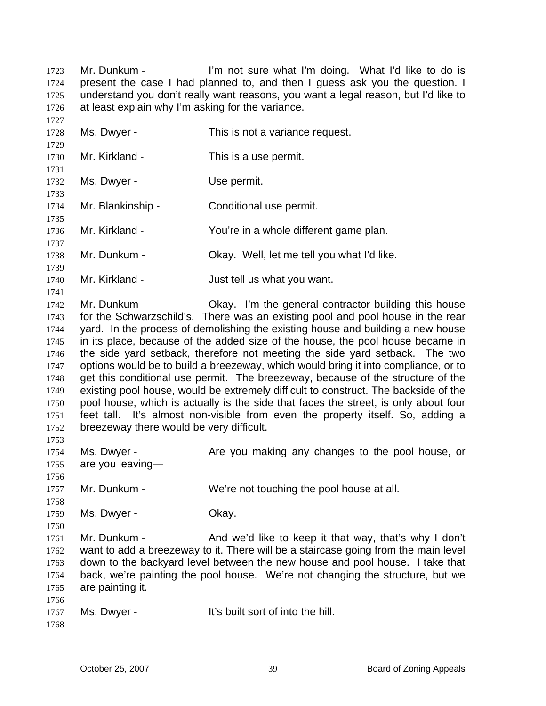Mr. Dunkum - I'm not sure what I'm doing. What I'd like to do is present the case I had planned to, and then I guess ask you the question. I understand you don't really want reasons, you want a legal reason, but I'd like to at least explain why I'm asking for the variance. 1723 1724 1725 1726

1727 1728 1729 1730 1731 1732 1733 1734 1735 1736 1737 1738 1739 1740 1741 1742 1743 1744 1745 1746 1747 1748 1749 1750 1751 1752 1753 1754 1755 1756 1757 1758 1759 1760 1761 1762 1763 1764 1765 1766 1767 1768 Ms. Dwyer - This is not a variance request. Mr. Kirkland - This is a use permit. Ms. Dwyer - Use permit. Mr. Blankinship - Conditional use permit. Mr. Kirkland - The You're in a whole different game plan. Mr. Dunkum - Ckay. Well, let me tell you what I'd like. Mr. Kirkland - The Solut Upst tell us what you want. Mr. Dunkum - Chay. I'm the general contractor building this house for the Schwarzschild's. There was an existing pool and pool house in the rear yard. In the process of demolishing the existing house and building a new house in its place, because of the added size of the house, the pool house became in the side yard setback, therefore not meeting the side yard setback. The two options would be to build a breezeway, which would bring it into compliance, or to get this conditional use permit. The breezeway, because of the structure of the existing pool house, would be extremely difficult to construct. The backside of the pool house, which is actually is the side that faces the street, is only about four feet tall. It's almost non-visible from even the property itself. So, adding a breezeway there would be very difficult. Ms. Dwyer - Are you making any changes to the pool house, or are you leaving— Mr. Dunkum - We're not touching the pool house at all. Ms. Dwyer - Chay. Mr. Dunkum - And we'd like to keep it that way, that's why I don't want to add a breezeway to it. There will be a staircase going from the main level down to the backyard level between the new house and pool house. I take that back, we're painting the pool house. We're not changing the structure, but we are painting it. Ms. Dwyer - The Music of into the hill.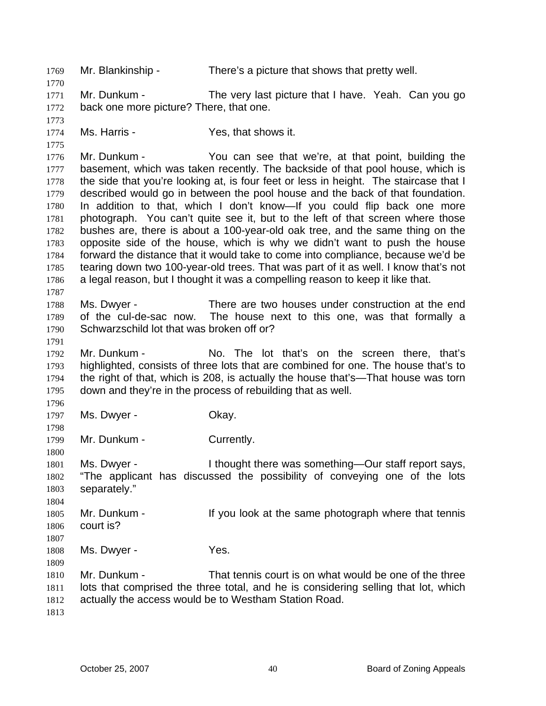1769 Mr. Blankinship - There's a picture that shows that pretty well. 1770 1771 1772 1773 1774 1775 1776 1777 1778 1779 1780 1781 1782 1783 1784 1785 1786 1787 1788 1789 1790 1791 1792 1793 1794 1795 1796 1797 1798 1799 1800 1801 1802 1803 1804 1805 1806 1807 1808 1809 1810 1811 1812 1813 Mr. Dunkum - The very last picture that I have. Yeah. Can you go back one more picture? There, that one. Ms. Harris - The Yes, that shows it. Mr. Dunkum - You can see that we're, at that point, building the basement, which was taken recently. The backside of that pool house, which is the side that you're looking at, is four feet or less in height. The staircase that I described would go in between the pool house and the back of that foundation. In addition to that, which I don't know—If you could flip back one more photograph. You can't quite see it, but to the left of that screen where those bushes are, there is about a 100-year-old oak tree, and the same thing on the opposite side of the house, which is why we didn't want to push the house forward the distance that it would take to come into compliance, because we'd be tearing down two 100-year-old trees. That was part of it as well. I know that's not a legal reason, but I thought it was a compelling reason to keep it like that. Ms. Dwyer - There are two houses under construction at the end of the cul-de-sac now. The house next to this one, was that formally a Schwarzschild lot that was broken off or? Mr. Dunkum - No. The lot that's on the screen there, that's highlighted, consists of three lots that are combined for one. The house that's to the right of that, which is 208, is actually the house that's—That house was torn down and they're in the process of rebuilding that as well. Ms. Dwyer - Chay. Mr. Dunkum - Currently. Ms. Dwyer - Thought there was something—Our staff report says, "The applicant has discussed the possibility of conveying one of the lots separately." Mr. Dunkum - If you look at the same photograph where that tennis court is? Ms. Dwyer - Yes. Mr. Dunkum - That tennis court is on what would be one of the three lots that comprised the three total, and he is considering selling that lot, which actually the access would be to Westham Station Road.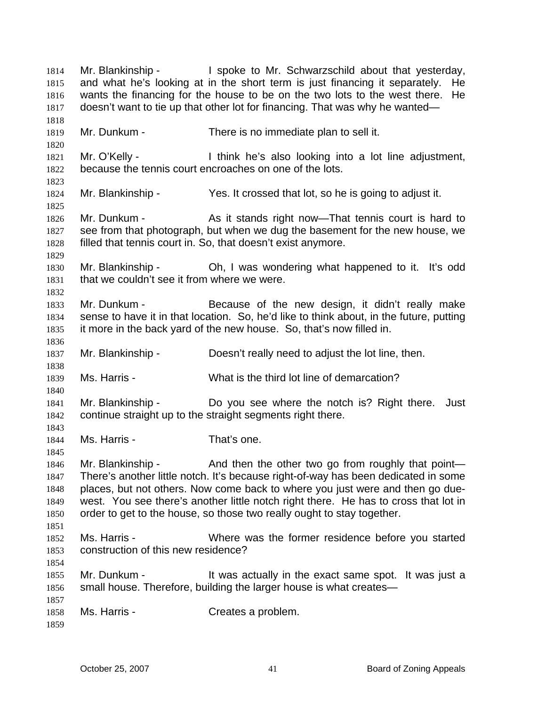Mr. Blankinship - The Spoke to Mr. Schwarzschild about that yesterday, and what he's looking at in the short term is just financing it separately. He wants the financing for the house to be on the two lots to the west there. He doesn't want to tie up that other lot for financing. That was why he wanted— 1814 1815 1816 1817 1818 1819 1820 1821 1822 1823 1824 1825 1826 1827 1828 1829 1830 1831 1832 1833 1834 1835 1836 1837 1838 1839 1840 1841 1842 1843 1844 1845 1846 1847 1848 1849 1850 1851 1852 1853 1854 1855 1856 1857 1858 1859 Mr. Dunkum - There is no immediate plan to sell it. Mr. O'Kelly - I think he's also looking into a lot line adjustment, because the tennis court encroaches on one of the lots. Mr. Blankinship - Yes. It crossed that lot, so he is going to adjust it. Mr. Dunkum - As it stands right now—That tennis court is hard to see from that photograph, but when we dug the basement for the new house, we filled that tennis court in. So, that doesn't exist anymore. Mr. Blankinship - Ch, I was wondering what happened to it. It's odd that we couldn't see it from where we were. Mr. Dunkum - Because of the new design, it didn't really make sense to have it in that location. So, he'd like to think about, in the future, putting it more in the back yard of the new house. So, that's now filled in. Mr. Blankinship - Doesn't really need to adjust the lot line, then. Ms. Harris - What is the third lot line of demarcation? Mr. Blankinship - Do you see where the notch is? Right there. Just continue straight up to the straight segments right there. Ms. Harris - That's one. Mr. Blankinship - And then the other two go from roughly that point— There's another little notch. It's because right-of-way has been dedicated in some places, but not others. Now come back to where you just were and then go duewest. You see there's another little notch right there. He has to cross that lot in order to get to the house, so those two really ought to stay together. Ms. Harris - Where was the former residence before you started construction of this new residence? Mr. Dunkum - It was actually in the exact same spot. It was just a small house. Therefore, building the larger house is what creates— Ms. Harris - Creates a problem.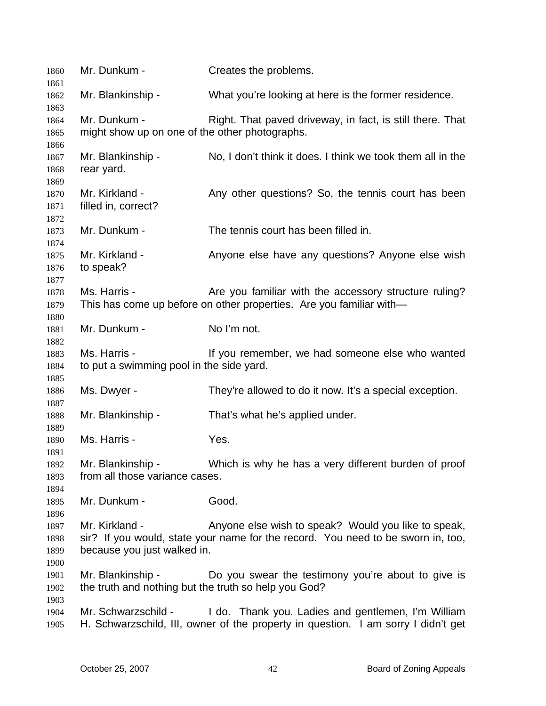| 1860<br>1861                 | Mr. Dunkum -                                                              | Creates the problems.                                                                                                                   |
|------------------------------|---------------------------------------------------------------------------|-----------------------------------------------------------------------------------------------------------------------------------------|
| 1862                         | Mr. Blankinship -                                                         | What you're looking at here is the former residence.                                                                                    |
| 1863<br>1864<br>1865         | Mr. Dunkum -<br>might show up on one of the other photographs.            | Right. That paved driveway, in fact, is still there. That                                                                               |
| 1866<br>1867<br>1868         | Mr. Blankinship -<br>rear yard.                                           | No, I don't think it does. I think we took them all in the                                                                              |
| 1869<br>1870<br>1871         | Mr. Kirkland -<br>filled in, correct?                                     | Any other questions? So, the tennis court has been                                                                                      |
| 1872<br>1873                 | Mr. Dunkum -                                                              | The tennis court has been filled in.                                                                                                    |
| 1874<br>1875<br>1876<br>1877 | Mr. Kirkland -<br>to speak?                                               | Anyone else have any questions? Anyone else wish                                                                                        |
| 1878<br>1879<br>1880         | Ms. Harris -                                                              | Are you familiar with the accessory structure ruling?<br>This has come up before on other properties. Are you familiar with-            |
| 1881<br>1882                 | Mr. Dunkum -                                                              | No I'm not.                                                                                                                             |
| 1883<br>1884                 | Ms. Harris -<br>to put a swimming pool in the side yard.                  | If you remember, we had someone else who wanted                                                                                         |
| 1885<br>1886                 | Ms. Dwyer -                                                               | They're allowed to do it now. It's a special exception.                                                                                 |
| 1887<br>1888                 | Mr. Blankinship -                                                         | That's what he's applied under.                                                                                                         |
| 1889<br>1890<br>1891         | Ms. Harris -                                                              | Yes.                                                                                                                                    |
| 1892<br>1893<br>1894         | from all those variance cases.                                            | Mr. Blankinship - Which is why he has a very different burden of proof                                                                  |
| 1895<br>1896                 | Mr. Dunkum -                                                              | Good.                                                                                                                                   |
| 1897<br>1898<br>1899         | Mr. Kirkland -<br>because you just walked in.                             | Anyone else wish to speak? Would you like to speak,<br>sir? If you would, state your name for the record. You need to be sworn in, too, |
| 1900<br>1901<br>1902         | Mr. Blankinship -<br>the truth and nothing but the truth so help you God? | Do you swear the testimony you're about to give is                                                                                      |
| 1903<br>1904<br>1905         | Mr. Schwarzschild -                                                       | I do. Thank you. Ladies and gentlemen, I'm William<br>H. Schwarzschild, III, owner of the property in question. I am sorry I didn't get |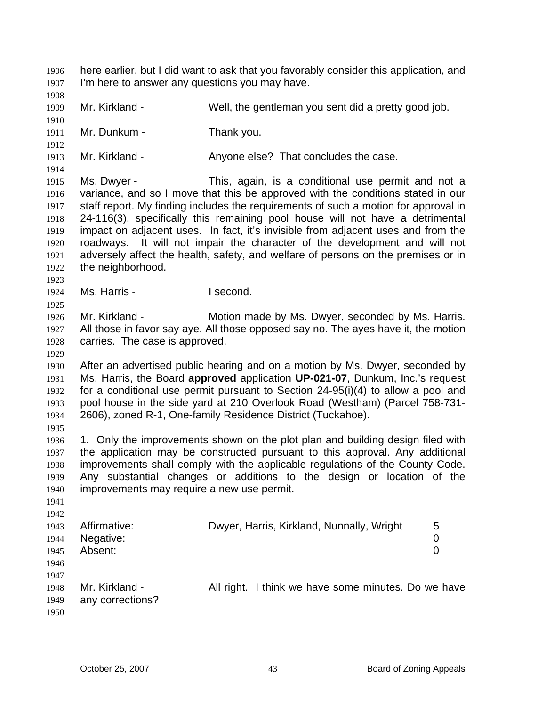here earlier, but I did want to ask that you favorably consider this application, and I'm here to answer any questions you may have. 1906 1907 1908 1909 1910 1911 1912 1913 1914 1915 1916 1917 1918 1919 1920 1921 1922 1923 1924 1925 1926 1927 1928 1929 1930 1931 1932 1933 1934 1935 1936 1937 1938 1939 1940 1941 1942 1943 1944 1945 1946 1947 1948 1949 1950 Mr. Kirkland - Well, the gentleman you sent did a pretty good job. Mr. Dunkum - Thank you. Mr. Kirkland - That concludes the case. Ms. Dwyer - This, again, is a conditional use permit and not a variance, and so I move that this be approved with the conditions stated in our staff report. My finding includes the requirements of such a motion for approval in 24-116(3), specifically this remaining pool house will not have a detrimental impact on adjacent uses. In fact, it's invisible from adjacent uses and from the roadways. It will not impair the character of the development and will not adversely affect the health, safety, and welfare of persons on the premises or in the neighborhood. Ms. Harris - **I** second. Mr. Kirkland - Motion made by Ms. Dwyer, seconded by Ms. Harris. All those in favor say aye. All those opposed say no. The ayes have it, the motion carries. The case is approved. After an advertised public hearing and on a motion by Ms. Dwyer, seconded by Ms. Harris, the Board **approved** application **UP-021-07**, Dunkum, Inc.'s request for a conditional use permit pursuant to Section 24-95(i)(4) to allow a pool and pool house in the side yard at 210 Overlook Road (Westham) (Parcel 758-731- 2606), zoned R-1, One-family Residence District (Tuckahoe). 1. Only the improvements shown on the plot plan and building design filed with the application may be constructed pursuant to this approval. Any additional improvements shall comply with the applicable regulations of the County Code. Any substantial changes or additions to the design or location of the improvements may require a new use permit. Affirmative: Dwyer, Harris, Kirkland, Nunnally, Wright 5 Negative: 0 Absent: 0 Mr. Kirkland - All right. I think we have some minutes. Do we have any corrections?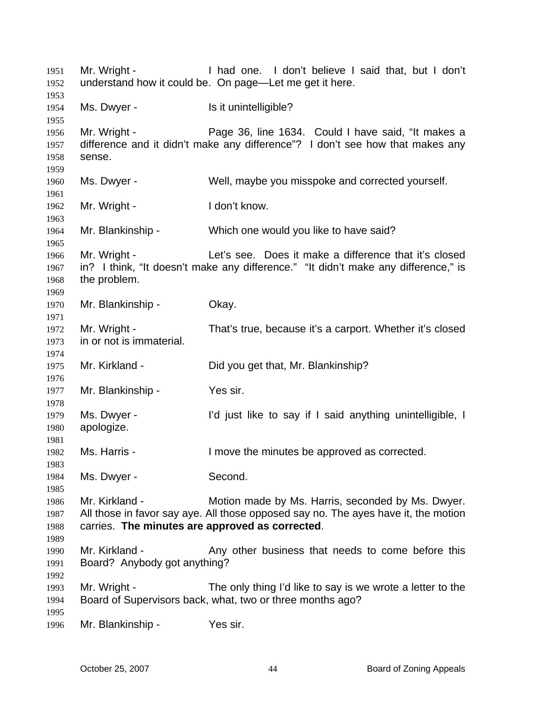Mr. Wright - Thad one. I don't believe I said that, but I don't understand how it could be. On page—Let me get it here. Ms. Dwyer - Is it unintelligible? Mr. Wright - Page 36, line 1634. Could I have said, "It makes a difference and it didn't make any difference"? I don't see how that makes any sense. Ms. Dwyer - Well, maybe you misspoke and corrected yourself. Mr. Wright - I don't know. Mr. Blankinship - Which one would you like to have said? Mr. Wright - Let's see. Does it make a difference that it's closed in? I think, "It doesn't make any difference." "It didn't make any difference," is the problem. Mr. Blankinship - Okay. Mr. Wright - That's true, because it's a carport. Whether it's closed in or not is immaterial. Mr. Kirkland - Did you get that, Mr. Blankinship? Mr. Blankinship - Yes sir. Ms. Dwyer - I'd just like to say if I said anything unintelligible, I apologize. Ms. Harris - I move the minutes be approved as corrected. Ms. Dwyer - Second. Mr. Kirkland - Motion made by Ms. Harris, seconded by Ms. Dwyer. All those in favor say aye. All those opposed say no. The ayes have it, the motion carries. **The minutes are approved as corrected**. Mr. Kirkland - Any other business that needs to come before this Board? Anybody got anything? Mr. Wright - The only thing I'd like to say is we wrote a letter to the Board of Supervisors back, what, two or three months ago? Mr. Blankinship - Yes sir.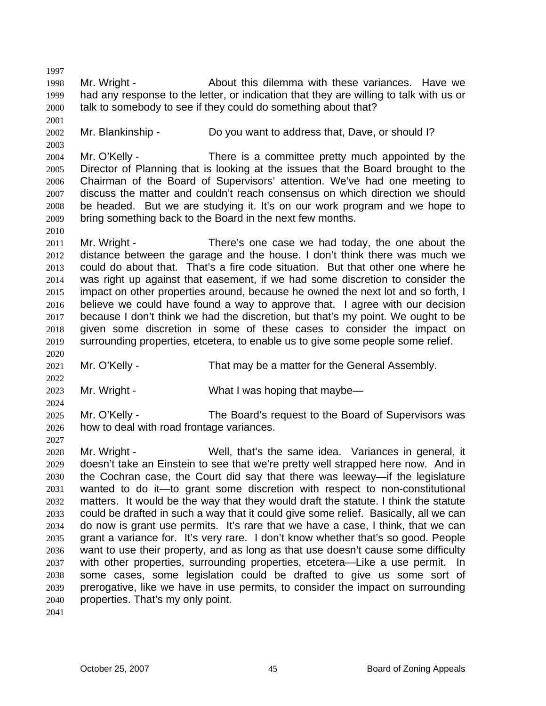1998 1999 2000 Mr. Wright - The About this dilemma with these variances. Have we had any response to the letter, or indication that they are willing to talk with us or talk to somebody to see if they could do something about that?

2001 2002

2003

2010

2020

2022

2024

2027

1997

Mr. Blankinship - Do you want to address that, Dave, or should I?

2004 2005 2006 2007 2008 2009 Mr. O'Kelly - There is a committee pretty much appointed by the Director of Planning that is looking at the issues that the Board brought to the Chairman of the Board of Supervisors' attention. We've had one meeting to discuss the matter and couldn't reach consensus on which direction we should be headed. But we are studying it. It's on our work program and we hope to bring something back to the Board in the next few months.

2011 2012 2013 2014 2015 2016 2017 2018 2019 Mr. Wright - There's one case we had today, the one about the distance between the garage and the house. I don't think there was much we could do about that. That's a fire code situation. But that other one where he was right up against that easement, if we had some discretion to consider the impact on other properties around, because he owned the next lot and so forth, I believe we could have found a way to approve that. I agree with our decision because I don't think we had the discretion, but that's my point. We ought to be given some discretion in some of these cases to consider the impact on surrounding properties, etcetera, to enable us to give some people some relief.

2021 Mr. O'Kelly - That may be a matter for the General Assembly.

2023 Mr. Wright - What I was hoping that maybe—

2025 2026 Mr. O'Kelly - The Board's request to the Board of Supervisors was how to deal with road frontage variances.

2028 2029 2030 2031 2032 2033 2034 2035 2036 2037 2038 2039 2040 Mr. Wright - Well, that's the same idea. Variances in general, it doesn't take an Einstein to see that we're pretty well strapped here now. And in the Cochran case, the Court did say that there was leeway—if the legislature wanted to do it—to grant some discretion with respect to non-constitutional matters. It would be the way that they would draft the statute. I think the statute could be drafted in such a way that it could give some relief. Basically, all we can do now is grant use permits. It's rare that we have a case, I think, that we can grant a variance for. It's very rare. I don't know whether that's so good. People want to use their property, and as long as that use doesn't cause some difficulty with other properties, surrounding properties, etcetera—Like a use permit. In some cases, some legislation could be drafted to give us some sort of prerogative, like we have in use permits, to consider the impact on surrounding properties. That's my only point.

2041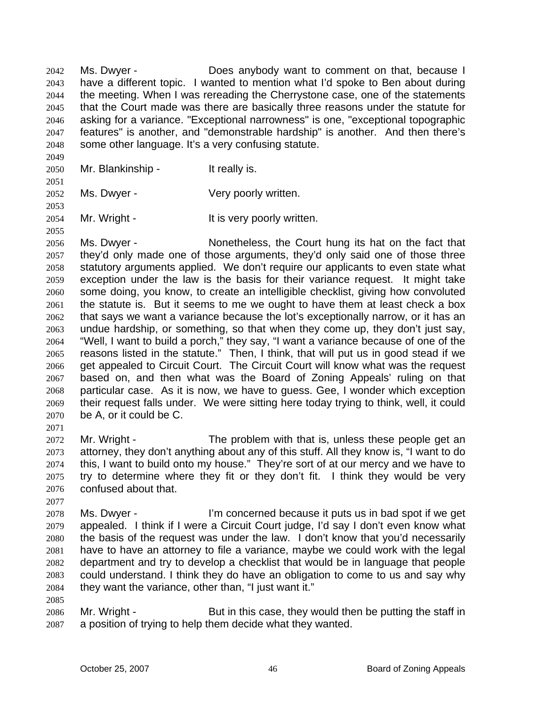Ms. Dwyer - Does anybody want to comment on that, because I have a different topic. I wanted to mention what I'd spoke to Ben about during the meeting. When I was rereading the Cherrystone case, one of the statements that the Court made was there are basically three reasons under the statute for asking for a variance. "Exceptional narrowness" is one, "exceptional topographic features" is another, and "demonstrable hardship" is another. And then there's some other language. It's a very confusing statute. 2042 2043 2044 2045 2046 2047 2048

2049 2050

2051

2053

2055

2071

2077

2085

Mr. Blankinship - It really is.

2052 Ms. Dwyer - The Very poorly written.

2054 Mr. Wright - The Muslim State of the U.S. very poorly written.

2056 2057 2058 2059 2060 2061 2062 2063 2064 2065 2066 2067 2068 2069 2070 Ms. Dwyer - Nonetheless, the Court hung its hat on the fact that they'd only made one of those arguments, they'd only said one of those three statutory arguments applied. We don't require our applicants to even state what exception under the law is the basis for their variance request. It might take some doing, you know, to create an intelligible checklist, giving how convoluted the statute is. But it seems to me we ought to have them at least check a box that says we want a variance because the lot's exceptionally narrow, or it has an undue hardship, or something, so that when they come up, they don't just say, "Well, I want to build a porch," they say, "I want a variance because of one of the reasons listed in the statute." Then, I think, that will put us in good stead if we get appealed to Circuit Court. The Circuit Court will know what was the request based on, and then what was the Board of Zoning Appeals' ruling on that particular case. As it is now, we have to guess. Gee, I wonder which exception their request falls under. We were sitting here today trying to think, well, it could be A, or it could be C.

2072 2073 2074 2075 2076 Mr. Wright - The problem with that is, unless these people get an attorney, they don't anything about any of this stuff. All they know is, "I want to do this, I want to build onto my house." They're sort of at our mercy and we have to try to determine where they fit or they don't fit. I think they would be very confused about that.

2078 2079 2080 2081 2082 2083 2084 Ms. Dwyer - I'm concerned because it puts us in bad spot if we get appealed. I think if I were a Circuit Court judge, I'd say I don't even know what the basis of the request was under the law. I don't know that you'd necessarily have to have an attorney to file a variance, maybe we could work with the legal department and try to develop a checklist that would be in language that people could understand. I think they do have an obligation to come to us and say why they want the variance, other than, "I just want it."

2086 2087 Mr. Wright - But in this case, they would then be putting the staff in a position of trying to help them decide what they wanted.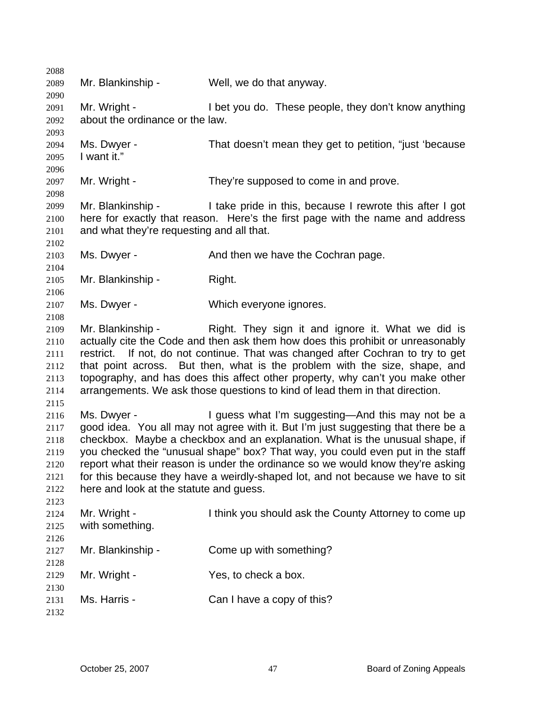| 2088 |                                           |                                                                                   |
|------|-------------------------------------------|-----------------------------------------------------------------------------------|
| 2089 | Mr. Blankinship -                         | Well, we do that anyway.                                                          |
| 2090 |                                           |                                                                                   |
| 2091 | Mr. Wright -                              | I bet you do. These people, they don't know anything                              |
| 2092 | about the ordinance or the law.           |                                                                                   |
| 2093 |                                           |                                                                                   |
| 2094 | Ms. Dwyer -                               | That doesn't mean they get to petition, "just 'because                            |
| 2095 | I want it."                               |                                                                                   |
| 2096 |                                           |                                                                                   |
| 2097 | Mr. Wright -                              | They're supposed to come in and prove.                                            |
| 2098 |                                           |                                                                                   |
| 2099 | Mr. Blankinship -                         | I take pride in this, because I rewrote this after I got                          |
| 2100 |                                           | here for exactly that reason. Here's the first page with the name and address     |
| 2101 | and what they're requesting and all that. |                                                                                   |
| 2102 |                                           |                                                                                   |
| 2103 | Ms. Dwyer -                               | And then we have the Cochran page.                                                |
| 2104 |                                           |                                                                                   |
| 2105 | Mr. Blankinship -                         | Right.                                                                            |
| 2106 |                                           |                                                                                   |
| 2107 | Ms. Dwyer -                               | Which everyone ignores.                                                           |
| 2108 |                                           |                                                                                   |
| 2109 | Mr. Blankinship -                         | Right. They sign it and ignore it. What we did is                                 |
| 2110 |                                           | actually cite the Code and then ask them how does this prohibit or unreasonably   |
| 2111 |                                           | restrict. If not, do not continue. That was changed after Cochran to try to get   |
| 2112 |                                           | that point across. But then, what is the problem with the size, shape, and        |
| 2113 |                                           | topography, and has does this affect other property, why can't you make other     |
| 2114 |                                           | arrangements. We ask those questions to kind of lead them in that direction.      |
| 2115 |                                           |                                                                                   |
| 2116 | Ms. Dwyer -                               | I guess what I'm suggesting—And this may not be a                                 |
| 2117 |                                           | good idea. You all may not agree with it. But I'm just suggesting that there be a |
| 2118 |                                           | checkbox. Maybe a checkbox and an explanation. What is the unusual shape, if      |
| 2119 |                                           | you checked the "unusual shape" box? That way, you could even put in the staff    |
| 2120 |                                           | report what their reason is under the ordinance so we would know they're asking   |
| 2121 |                                           | for this because they have a weirdly-shaped lot, and not because we have to sit   |
| 2122 | here and look at the statute and guess.   |                                                                                   |
| 2123 |                                           |                                                                                   |
| 2124 | Mr. Wright -                              | I think you should ask the County Attorney to come up                             |
| 2125 | with something.                           |                                                                                   |
| 2126 |                                           |                                                                                   |
|      | Mr. Blankinship -                         | Come up with something?                                                           |
| 2127 |                                           |                                                                                   |
| 2128 |                                           |                                                                                   |
| 2129 | Mr. Wright -                              | Yes, to check a box.                                                              |
| 2130 | Ms. Harris -                              |                                                                                   |
| 2131 |                                           | Can I have a copy of this?                                                        |
| 2132 |                                           |                                                                                   |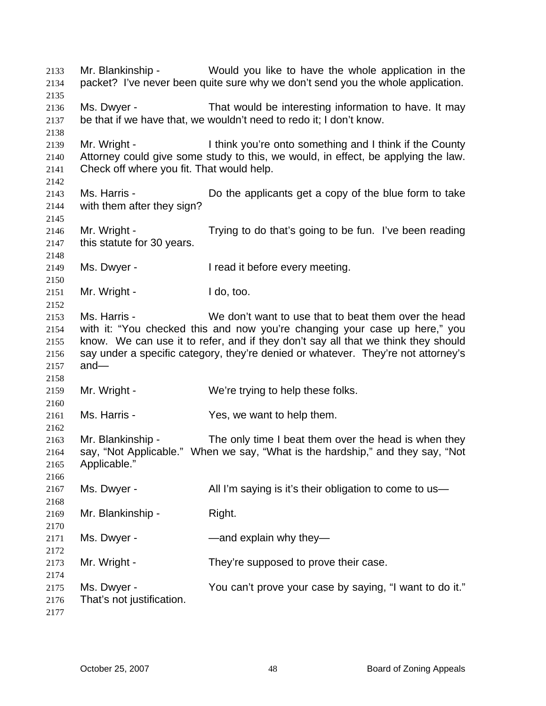Mr. Blankinship - Would you like to have the whole application in the packet? I've never been quite sure why we don't send you the whole application. 2133 2134 2135 2136 2137 2138 2139 2140 2141 2142 2143 2144 2145 2146 2147 2148 2149 2150 2151 2152 2153 2154 2155 2156 2157 2158 2159 2160 2161 2162 2163 2164 2165 2166 2167 2168 2169 2170 2171 2172 2173 2174 2175 2176 2177 Ms. Dwyer - That would be interesting information to have. It may be that if we have that, we wouldn't need to redo it; I don't know. Mr. Wright - Think you're onto something and I think if the County Attorney could give some study to this, we would, in effect, be applying the law. Check off where you fit. That would help. Ms. Harris - **Do the applicants get a copy of the blue form to take** with them after they sign? Mr. Wright - Trying to do that's going to be fun. I've been reading this statute for 30 years. Ms. Dwyer - I read it before every meeting. Mr. Wright - I do, too. Ms. Harris - We don't want to use that to beat them over the head with it: "You checked this and now you're changing your case up here," you know. We can use it to refer, and if they don't say all that we think they should say under a specific category, they're denied or whatever. They're not attorney's and— Mr. Wright - We're trying to help these folks. Ms. Harris - Yes, we want to help them. Mr. Blankinship - The only time I beat them over the head is when they say, "Not Applicable." When we say, "What is the hardship," and they say, "Not Applicable." Ms. Dwyer - All I'm saying is it's their obligation to come to us-Mr. Blankinship - Right. Ms. Dwyer - The South Common and explain why they Mr. Wright - They're supposed to prove their case. Ms. Dwyer - The You can't prove your case by saying, "I want to do it." That's not justification.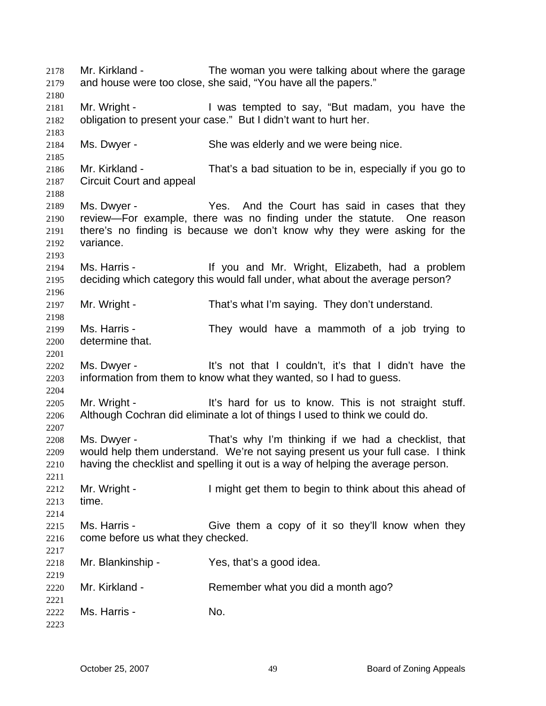Mr. Kirkland - The woman you were talking about where the garage and house were too close, she said, "You have all the papers." 2178 2179 2180 2181 2182 2183 2184 2185 2186 2187 2188 2189 2190 2191 2192 2193 2194 2195 2196 2197 2198 2199 2200 2201 2202 2203 2204 2205 2206 2207 2208 2209 2210 2211 2212 2213 2214 2215 2216 2217 2218 2219 2220 2221 2222 2223 Mr. Wright - I was tempted to say, "But madam, you have the obligation to present your case." But I didn't want to hurt her. Ms. Dwyer - She was elderly and we were being nice. Mr. Kirkland - That's a bad situation to be in, especially if you go to Circuit Court and appeal Ms. Dwyer - The Yes. And the Court has said in cases that they review—For example, there was no finding under the statute. One reason there's no finding is because we don't know why they were asking for the variance. Ms. Harris - The Music of the Victor and Mr. Wright, Elizabeth, had a problem deciding which category this would fall under, what about the average person? Mr. Wright - That's what I'm saying. They don't understand. Ms. Harris - They would have a mammoth of a job trying to determine that. Ms. Dwyer - The M<sup>t's</sup> not that I couldn't, it's that I didn't have the information from them to know what they wanted, so I had to guess. Mr. Wright - It's hard for us to know. This is not straight stuff. Although Cochran did eliminate a lot of things I used to think we could do. Ms. Dwyer - That's why I'm thinking if we had a checklist, that would help them understand. We're not saying present us your full case. I think having the checklist and spelling it out is a way of helping the average person. Mr. Wright - The state of I might get them to begin to think about this ahead of time. Ms. Harris - Give them a copy of it so they'll know when they come before us what they checked. Mr. Blankinship - Yes, that's a good idea. Mr. Kirkland - Remember what you did a month ago? Ms. Harris - No.